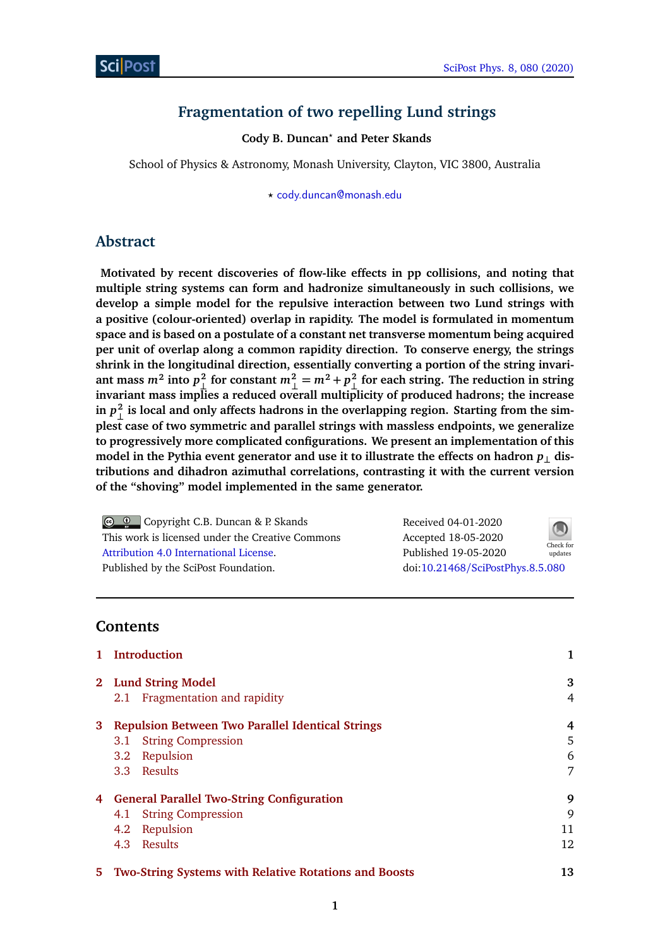# **Fragmentation of two repelling Lund strings**

**Cody B. Duncan***?* **and Peter Skands**

School of Physics & Astronomy, Monash University, Clayton, VIC 3800, Australia

*?* [cody.duncan@monash.edu](mailto:cody.duncan@monash.edu)

# **Abstract**

**Motivated by recent discoveries of flow-like effects in pp collisions, and noting that multiple string systems can form and hadronize simultaneously in such collisions, we develop a simple model for the repulsive interaction between two Lund strings with a positive (colour-oriented) overlap in rapidity. The model is formulated in momentum space and is based on a postulate of a constant net transverse momentum being acquired per unit of overlap along a common rapidity direction. To conserve energy, the strings shrink in the longitudinal direction, essentially converting a portion of the string invari**ant mass  $m^2$  into  $p_{\perp}^2$  for constant  $m_{\perp}^2 = m^2 + p_{\perp}^2$  for each string. The reduction in string **invariant mass implies a reduced overall multiplicity of produced hadrons; the increase**  $\sin p_\perp^2$  is local and only affects hadrons in the overlapping region. Starting from the sim**plest case of two symmetric and parallel strings with massless endpoints, we generalize to progressively more complicated configurations. We present an implementation of this** model in the Pythia event generator and use it to illustrate the effects on hadron  $p_{\perp}$  dis**tributions and dihadron azimuthal correlations, contrasting it with the current version of the "shoving" model implemented in the same generator.**

**Co C** Copyright C.B. Duncan & P. Skands This work is licensed under the Creative Commons [Attribution 4.0 International License.](http://creativecommons.org/licenses/by/4.0/) Published by the SciPost Foundation.

Received 04-01-2020 Accepted 18-05-2020 Published 19-05-2020 Check for updates



doi:10.21468/[SciPostPhys.8.5.080](http://dx.doi.org/10.21468/SciPostPhys.8.5.080)

# **Contents**

|   | 1 Introduction                                          |    |
|---|---------------------------------------------------------|----|
|   | 2 Lund String Model                                     | 3  |
|   | Fragmentation and rapidity<br>2.1                       | 4  |
| 3 | <b>Repulsion Between Two Parallel Identical Strings</b> | 4  |
|   | <b>String Compression</b><br>3.1                        | 5  |
|   | Repulsion<br>3.2                                        | 6  |
|   | 3.3 Results                                             | 7  |
|   | 4 General Parallel Two-String Configuration             | 9  |
|   | <b>String Compression</b><br>4.1                        | 9  |
|   | Repulsion<br>4.2                                        | 11 |
|   | 4.3 Results                                             | 12 |
|   | 5 Two-String Systems with Relative Rotations and Boosts | 13 |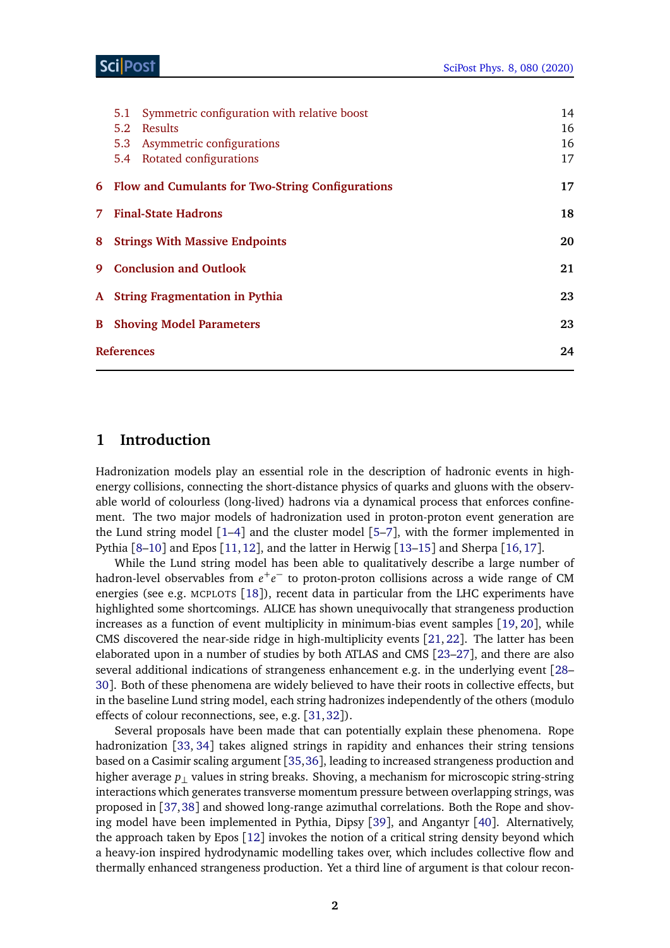## Sci Post

| Symmetric configuration with relative boost<br>5.1 | 14 |
|----------------------------------------------------|----|
| Results<br>5.2                                     | 16 |
| 5.3 Asymmetric configurations                      | 16 |
| 5.4 Rotated configurations                         | 17 |
| 6 Flow and Cumulants for Two-String Configurations | 17 |
| 7 Final-State Hadrons                              | 18 |
| <b>8</b> Strings With Massive Endpoints            | 20 |
| 9 Conclusion and Outlook                           | 21 |
| A String Fragmentation in Pythia                   | 23 |
| <b>B</b> Shoving Model Parameters                  | 23 |
| <b>References</b>                                  | 24 |
|                                                    |    |

# <span id="page-1-0"></span>**1 Introduction**

Hadronization models play an essential role in the description of hadronic events in highenergy collisions, connecting the short-distance physics of quarks and gluons with the observable world of colourless (long-lived) hadrons via a dynamical process that enforces confinement. The two major models of hadronization used in proton-proton event generation are the Lund string model  $[1-4]$  $[1-4]$  $[1-4]$  and the cluster model  $[5-7]$  $[5-7]$  $[5-7]$ , with the former implemented in Pythia [[8–](#page-23-5)[10](#page-23-6)] and Epos [[11,](#page-23-7)[12](#page-24-0)], and the latter in Herwig [[13](#page-24-1)[–15](#page-24-2)] and Sherpa [[16,](#page-24-3)[17](#page-24-4)].

While the Lund string model has been able to qualitatively describe a large number of hadron-level observables from  $e^+e^-$  to proton-proton collisions across a wide range of CM energies (see e.g. MCPLOTS [[18](#page-24-5)]), recent data in particular from the LHC experiments have highlighted some shortcomings. ALICE has shown unequivocally that strangeness production increases as a function of event multiplicity in minimum-bias event samples [[19,](#page-24-6) [20](#page-24-7)], while CMS discovered the near-side ridge in high-multiplicity events [[21,](#page-24-8) [22](#page-24-9)]. The latter has been elaborated upon in a number of studies by both ATLAS and CMS [[23–](#page-24-10)[27](#page-24-11)], and there are also several additional indications of strangeness enhancement e.g. in the underlying event [[28–](#page-25-0) [30](#page-25-1)]. Both of these phenomena are widely believed to have their roots in collective effects, but in the baseline Lund string model, each string hadronizes independently of the others (modulo effects of colour reconnections, see, e.g. [[31,](#page-25-2)[32](#page-25-3)]).

Several proposals have been made that can potentially explain these phenomena. Rope hadronization [[33,](#page-25-4) [34](#page-25-5)] takes aligned strings in rapidity and enhances their string tensions based on a Casimir scaling argument [[35,](#page-25-6)[36](#page-25-7)], leading to increased strangeness production and higher average *p*⊥ values in string breaks. Shoving, a mechanism for microscopic string-string interactions which generates transverse momentum pressure between overlapping strings, was proposed in [[37,](#page-25-8)[38](#page-25-9)] and showed long-range azimuthal correlations. Both the Rope and shoving model have been implemented in Pythia, Dipsy [[39](#page-25-10)], and Angantyr [[40](#page-25-11)]. Alternatively, the approach taken by Epos [[12](#page-24-0)] invokes the notion of a critical string density beyond which a heavy-ion inspired hydrodynamic modelling takes over, which includes collective flow and thermally enhanced strangeness production. Yet a third line of argument is that colour recon-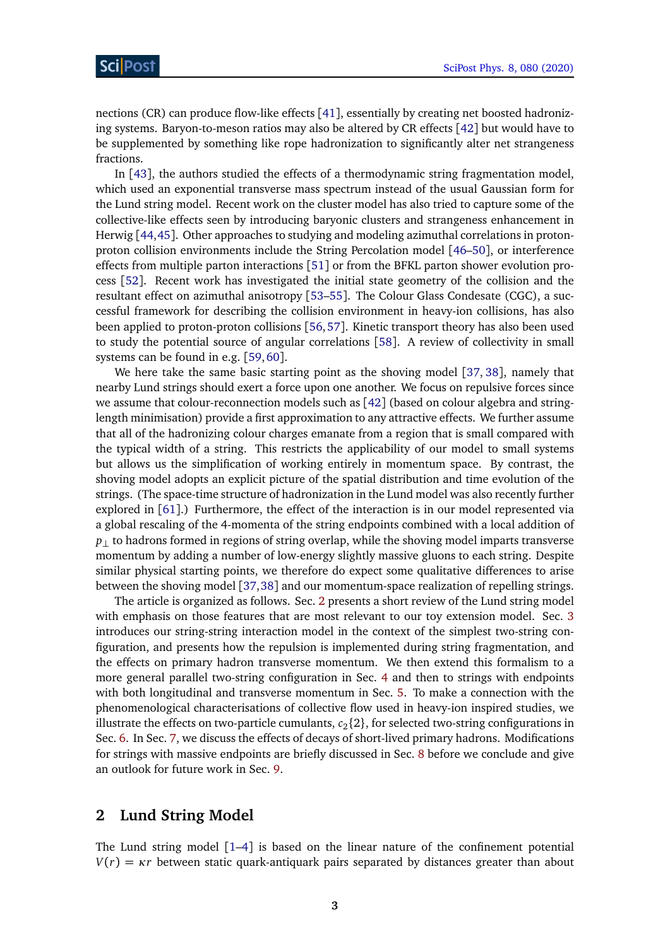nections (CR) can produce flow-like effects [[41](#page-25-12)], essentially by creating net boosted hadronizing systems. Baryon-to-meson ratios may also be altered by CR effects [[42](#page-25-13)] but would have to be supplemented by something like rope hadronization to significantly alter net strangeness fractions.

In [[43](#page-26-0)], the authors studied the effects of a thermodynamic string fragmentation model, which used an exponential transverse mass spectrum instead of the usual Gaussian form for the Lund string model. Recent work on the cluster model has also tried to capture some of the collective-like effects seen by introducing baryonic clusters and strangeness enhancement in Herwig [[44,](#page-26-1)[45](#page-26-2)]. Other approaches to studying and modeling azimuthal correlations in protonproton collision environments include the String Percolation model [[46–](#page-26-3)[50](#page-26-4)], or interference effects from multiple parton interactions [[51](#page-26-5)] or from the BFKL parton shower evolution process [[52](#page-26-6)]. Recent work has investigated the initial state geometry of the collision and the resultant effect on azimuthal anisotropy [[53–](#page-26-7)[55](#page-26-8)]. The Colour Glass Condesate (CGC), a successful framework for describing the collision environment in heavy-ion collisions, has also been applied to proton-proton collisions [[56,](#page-26-9)[57](#page-26-10)]. Kinetic transport theory has also been used to study the potential source of angular correlations [[58](#page-27-0)]. A review of collectivity in small systems can be found in e.g. [[59,](#page-27-1)[60](#page-27-2)].

We here take the same basic starting point as the shoving model [[37,](#page-25-8) [38](#page-25-9)], namely that nearby Lund strings should exert a force upon one another. We focus on repulsive forces since we assume that colour-reconnection models such as [[42](#page-25-13)] (based on colour algebra and stringlength minimisation) provide a first approximation to any attractive effects. We further assume that all of the hadronizing colour charges emanate from a region that is small compared with the typical width of a string. This restricts the applicability of our model to small systems but allows us the simplification of working entirely in momentum space. By contrast, the shoving model adopts an explicit picture of the spatial distribution and time evolution of the strings. (The space-time structure of hadronization in the Lund model was also recently further explored in [[61](#page-27-3)].) Furthermore, the effect of the interaction is in our model represented via a global rescaling of the 4-momenta of the string endpoints combined with a local addition of *p*<sub>⊥</sub> to hadrons formed in regions of string overlap, while the shoving model imparts transverse momentum by adding a number of low-energy slightly massive gluons to each string. Despite similar physical starting points, we therefore do expect some qualitative differences to arise between the shoving model [[37,](#page-25-8)[38](#page-25-9)] and our momentum-space realization of repelling strings.

The article is organized as follows. Sec. [2](#page-2-0) presents a short review of the Lund string model with emphasis on those features that are most relevant to our toy extension model. Sec. [3](#page-4-0) introduces our string-string interaction model in the context of the simplest two-string configuration, and presents how the repulsion is implemented during string fragmentation, and the effects on primary hadron transverse momentum. We then extend this formalism to a more general parallel two-string configuration in Sec. [4](#page-8-0) and then to strings with endpoints with both longitudinal and transverse momentum in Sec. [5.](#page-13-0) To make a connection with the phenomenological characterisations of collective flow used in heavy-ion inspired studies, we illustrate the effects on two-particle cumulants,  $c_2$ {2}, for selected two-string configurations in Sec. [6.](#page-17-0) In Sec. [7,](#page-18-0) we discuss the effects of decays of short-lived primary hadrons. Modifications for strings with massive endpoints are briefly discussed in Sec. [8](#page-19-0) before we conclude and give an outlook for future work in Sec. [9.](#page-20-0)

## <span id="page-2-0"></span>**2 Lund String Model**

The Lund string model  $[1-4]$  $[1-4]$  $[1-4]$  is based on the linear nature of the confinement potential  $V(r) = \kappa r$  between static quark-antiquark pairs separated by distances greater than about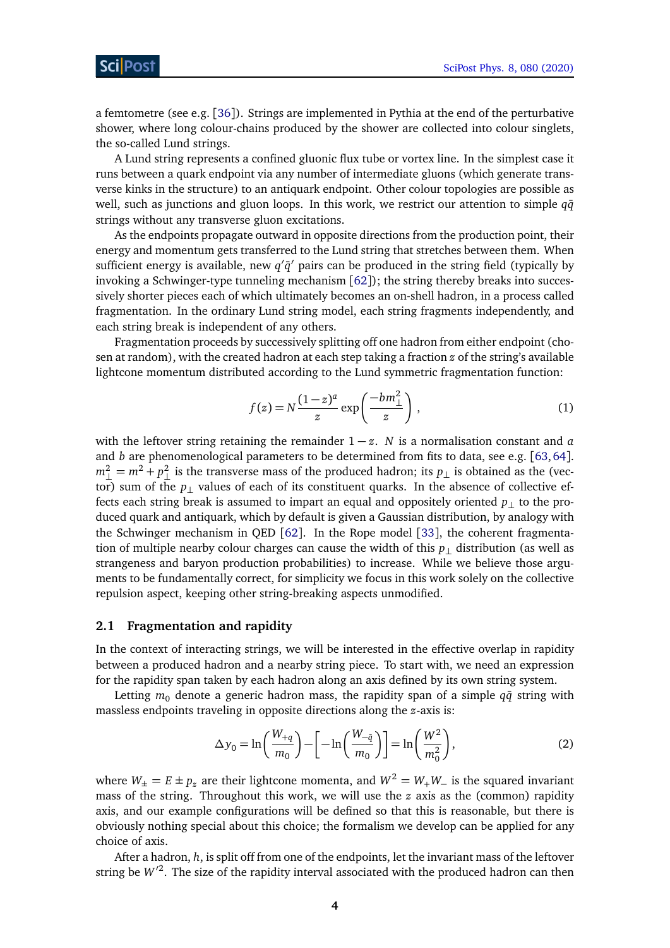a femtometre (see e.g. [[36](#page-25-7)]). Strings are implemented in Pythia at the end of the perturbative shower, where long colour-chains produced by the shower are collected into colour singlets, the so-called Lund strings.

A Lund string represents a confined gluonic flux tube or vortex line. In the simplest case it runs between a quark endpoint via any number of intermediate gluons (which generate transverse kinks in the structure) to an antiquark endpoint. Other colour topologies are possible as well, such as junctions and gluon loops. In this work, we restrict our attention to simple *q* $\bar{q}$ strings without any transverse gluon excitations.

As the endpoints propagate outward in opposite directions from the production point, their energy and momentum gets transferred to the Lund string that stretches between them. When sufficient energy is available, new  $q'\bar{q}'$  pairs can be produced in the string field (typically by invoking a Schwinger-type tunneling mechanism [[62](#page-27-4)]); the string thereby breaks into successively shorter pieces each of which ultimately becomes an on-shell hadron, in a process called fragmentation. In the ordinary Lund string model, each string fragments independently, and each string break is independent of any others.

Fragmentation proceeds by successively splitting off one hadron from either endpoint (chosen at random), with the created hadron at each step taking a fraction *z* of the string's available lightcone momentum distributed according to the Lund symmetric fragmentation function:

$$
f(z) = N \frac{(1-z)^a}{z} \exp\left(\frac{-bm_{\perp}^2}{z}\right),\tag{1}
$$

with the leftover string retaining the remainder  $1 - z$ . *N* is a normalisation constant and *a* and *b* are phenomenological parameters to be determined from fits to data, see e.g. [[63,](#page-27-5)[64](#page-27-6)].  $m_{\perp}^2 = m^2 + p_{\perp}^2$  is the transverse mass of the produced hadron; its  $p_{\perp}$  is obtained as the (vector) sum of the *p*<sub>⊥</sub> values of each of its constituent quarks. In the absence of collective effects each string break is assumed to impart an equal and oppositely oriented  $p<sub>⊥</sub>$  to the produced quark and antiquark, which by default is given a Gaussian distribution, by analogy with the Schwinger mechanism in QED [[62](#page-27-4)]. In the Rope model [[33](#page-25-4)], the coherent fragmentation of multiple nearby colour charges can cause the width of this *p*⊥ distribution (as well as strangeness and baryon production probabilities) to increase. While we believe those arguments to be fundamentally correct, for simplicity we focus in this work solely on the collective repulsion aspect, keeping other string-breaking aspects unmodified.

#### <span id="page-3-0"></span>**2.1 Fragmentation and rapidity**

In the context of interacting strings, we will be interested in the effective overlap in rapidity between a produced hadron and a nearby string piece. To start with, we need an expression for the rapidity span taken by each hadron along an axis defined by its own string system.

Letting  $m_0$  denote a generic hadron mass, the rapidity span of a simple  $q\bar{q}$  string with massless endpoints traveling in opposite directions along the *z*-axis is:

<span id="page-3-1"></span>
$$
\Delta y_0 = \ln \left( \frac{W_{+q}}{m_0} \right) - \left[ -\ln \left( \frac{W_{-\bar{q}}}{m_0} \right) \right] = \ln \left( \frac{W^2}{m_0^2} \right),\tag{2}
$$

where  $W_{\pm} = E \pm p_z$  are their lightcone momenta, and  $W^2 = W_+W_-$  is the squared invariant mass of the string. Throughout this work, we will use the *z* axis as the (common) rapidity axis, and our example configurations will be defined so that this is reasonable, but there is obviously nothing special about this choice; the formalism we develop can be applied for any choice of axis.

After a hadron, *h*, is split off from one of the endpoints, let the invariant mass of the leftover string be  $W^2$ . The size of the rapidity interval associated with the produced hadron can then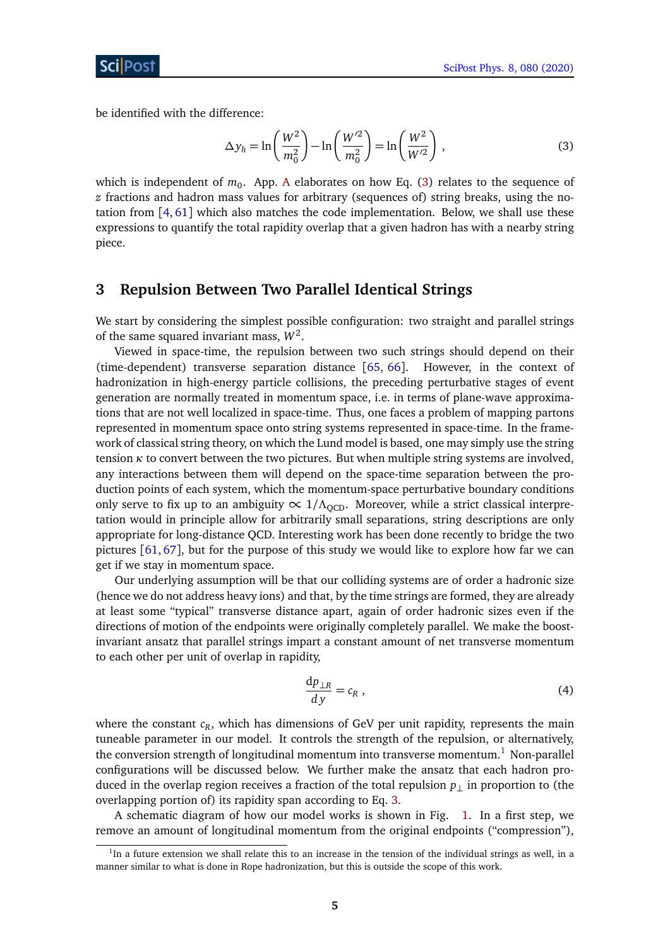be identified with the difference:

<span id="page-4-1"></span>
$$
\Delta y_h = \ln \left( \frac{W^2}{m_0^2} \right) - \ln \left( \frac{W'^2}{m_0^2} \right) = \ln \left( \frac{W^2}{W'^2} \right),\tag{3}
$$

which is independent of  $m_0$ . [A](#page-22-0)pp. A elaborates on how Eq.  $(3)$  relates to the sequence of *z* fractions and hadron mass values for arbitrary (sequences of) string breaks, using the notation from [[4,](#page-23-2) [61](#page-27-3)] which also matches the code implementation. Below, we shall use these expressions to quantify the total rapidity overlap that a given hadron has with a nearby string piece.

# <span id="page-4-0"></span>**3 Repulsion Between Two Parallel Identical Strings**

We start by considering the simplest possible configuration: two straight and parallel strings of the same squared invariant mass,  $W^2$ .

Viewed in space-time, the repulsion between two such strings should depend on their (time-dependent) transverse separation distance [[65,](#page-27-7) [66](#page-27-8)]. However, in the context of hadronization in high-energy particle collisions, the preceding perturbative stages of event generation are normally treated in momentum space, i.e. in terms of plane-wave approximations that are not well localized in space-time. Thus, one faces a problem of mapping partons represented in momentum space onto string systems represented in space-time. In the framework of classical string theory, on which the Lund model is based, one may simply use the string tension  $\kappa$  to convert between the two pictures. But when multiple string systems are involved, any interactions between them will depend on the space-time separation between the production points of each system, which the momentum-space perturbative boundary conditions only serve to fix up to an ambiguity  $\propto 1/\Lambda_{\text{OCD}}$ . Moreover, while a strict classical interpretation would in principle allow for arbitrarily small separations, string descriptions are only appropriate for long-distance QCD. Interesting work has been done recently to bridge the two pictures [[61,](#page-27-3) [67](#page-27-9)], but for the purpose of this study we would like to explore how far we can get if we stay in momentum space.

Our underlying assumption will be that our colliding systems are of order a hadronic size (hence we do not address heavy ions) and that, by the time strings are formed, they are already at least some "typical" transverse distance apart, again of order hadronic sizes even if the directions of motion of the endpoints were originally completely parallel. We make the boostinvariant ansatz that parallel strings impart a constant amount of net transverse momentum to each other per unit of overlap in rapidity,

<span id="page-4-3"></span>
$$
\frac{\mathrm{d}p_{\perp R}}{\mathrm{d}y} = c_R \,,\tag{4}
$$

where the constant *c<sup>R</sup>* , which has dimensions of GeV per unit rapidity, represents the main tuneable parameter in our model. It controls the strength of the repulsion, or alternatively, the conversion strength of longitudinal momentum into transverse momentum.<sup>[1](#page-4-2)</sup> Non-parallel configurations will be discussed below. We further make the ansatz that each hadron produced in the overlap region receives a fraction of the total repulsion *p*⊥ in proportion to (the overlapping portion of) its rapidity span according to Eq. [3.](#page-4-1)

A schematic diagram of how our model works is shown in Fig. [1.](#page-5-1) In a first step, we remove an amount of longitudinal momentum from the original endpoints ("compression"),

<span id="page-4-2"></span><sup>&</sup>lt;sup>1</sup>In a future extension we shall relate this to an increase in the tension of the individual strings as well, in a manner similar to what is done in Rope hadronization, but this is outside the scope of this work.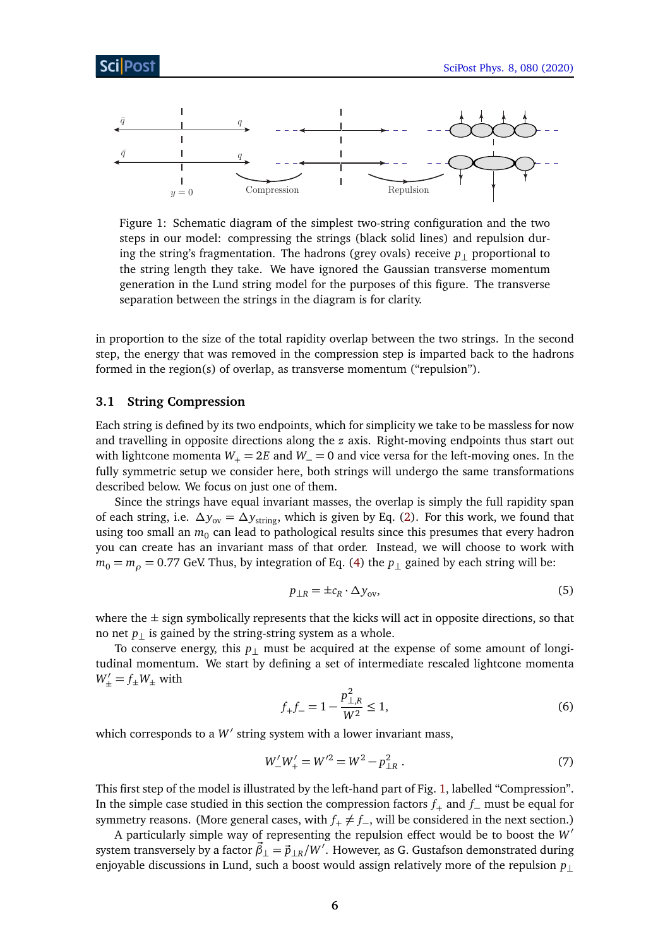<span id="page-5-1"></span>

Figure 1: Schematic diagram of the simplest two-string configuration and the two steps in our model: compressing the strings (black solid lines) and repulsion during the string's fragmentation. The hadrons (grey ovals) receive  $p_{\perp}$  proportional to the string length they take. We have ignored the Gaussian transverse momentum generation in the Lund string model for the purposes of this figure. The transverse separation between the strings in the diagram is for clarity.

in proportion to the size of the total rapidity overlap between the two strings. In the second step, the energy that was removed in the compression step is imparted back to the hadrons formed in the region(s) of overlap, as transverse momentum ("repulsion").

#### <span id="page-5-0"></span>**3.1 String Compression**

Each string is defined by its two endpoints, which for simplicity we take to be massless for now and travelling in opposite directions along the *z* axis. Right-moving endpoints thus start out with lightcone momenta  $W_+ = 2E$  and  $W_+ = 0$  and vice versa for the left-moving ones. In the fully symmetric setup we consider here, both strings will undergo the same transformations described below. We focus on just one of them.

Since the strings have equal invariant masses, the overlap is simply the full rapidity span of each string, i.e.  $\Delta y_{ov} = \Delta y_{string}$ , which is given by Eq. [\(2\)](#page-3-1). For this work, we found that using too small an  $m_0$  can lead to pathological results since this presumes that every hadron you can create has an invariant mass of that order. Instead, we will choose to work with  $m_0 = m_\rho = 0.77$  GeV. Thus, by integration of Eq. [\(4\)](#page-4-3) the  $p_\perp$  gained by each string will be:

<span id="page-5-2"></span>
$$
p_{\perp R} = \pm c_R \cdot \Delta y_{\text{ov}},\tag{5}
$$

where the  $\pm$  sign symbolically represents that the kicks will act in opposite directions, so that no net  $p_{\perp}$  is gained by the string-string system as a whole.

To conserve energy, this  $p_{\perp}$  must be acquired at the expense of some amount of longitudinal momentum. We start by defining a set of intermediate rescaled lightcone momenta  $W'_{\pm} = f_{\pm}W_{\pm}$  with

$$
f_{+}f_{-} = 1 - \frac{p_{\perp,R}^2}{W^2} \le 1,\tag{6}
$$

which corresponds to a  $W'$  string system with a lower invariant mass,

$$
W'_{-}W'_{+} = W'^{2} = W^{2} - p_{\perp R}^{2} .
$$
 (7)

This first step of the model is illustrated by the left-hand part of Fig. [1,](#page-5-1) labelled "Compression". In the simple case studied in this section the compression factors *f*<sup>+</sup> and *f*<sup>−</sup> must be equal for symmetry reasons. (More general cases, with  $f_{+} \neq f_{-}$ , will be considered in the next section.)

A particularly simple way of representing the repulsion effect would be to boost the W<sup>1</sup> system transversely by a factor  $\vec{\beta}_{\perp} = \vec{p}_{\perp R}/W'$ . However, as G. Gustafson demonstrated during enjoyable discussions in Lund, such a boost would assign relatively more of the repulsion *p*⊥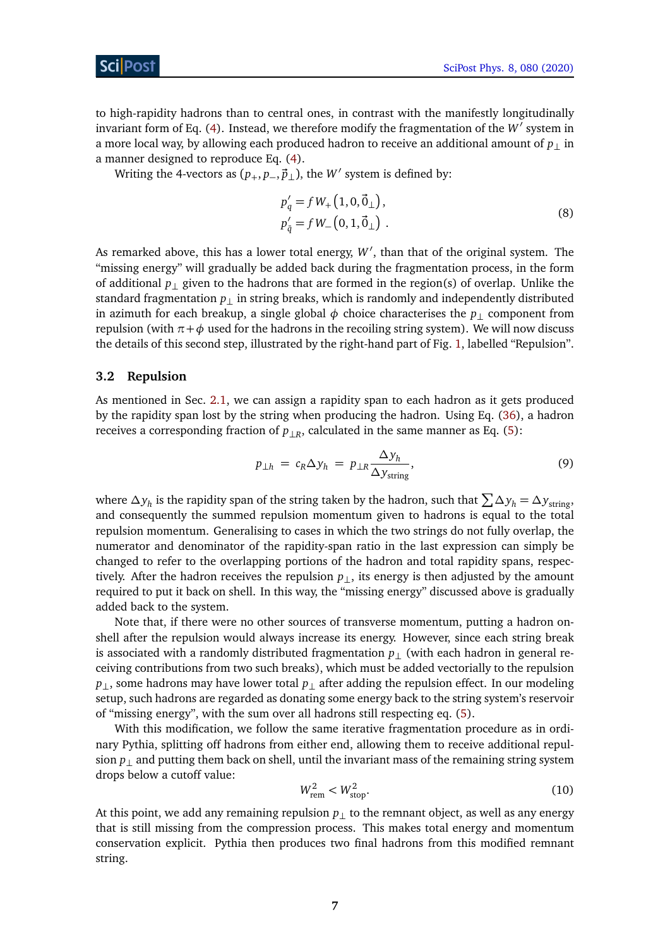### ScilPos

to high-rapidity hadrons than to central ones, in contrast with the manifestly longitudinally invariant form of Eq. [\(4\)](#page-4-3). Instead, we therefore modify the fragmentation of the  $W'$  system in a more local way, by allowing each produced hadron to receive an additional amount of  $p_+$  in a manner designed to reproduce Eq. [\(4\)](#page-4-3).

Writing the 4-vectors as  $(p_+, p_-, \vec{p}_\perp)$ , the *W'* system is defined by:

$$
p'_{q} = f W_{+} (1, 0, \vec{0}_{\perp}),
$$
  
\n
$$
p'_{\bar{q}} = f W_{-} (0, 1, \vec{0}_{\perp}).
$$
\n(8)

As remarked above, this has a lower total energy, W', than that of the original system. The "missing energy" will gradually be added back during the fragmentation process, in the form of additional *p*⊥ given to the hadrons that are formed in the region(s) of overlap. Unlike the standard fragmentation *p*⊥ in string breaks, which is randomly and independently distributed in azimuth for each breakup, a single global  $\phi$  choice characterises the  $p_{\perp}$  component from repulsion (with *π*+*φ* used for the hadrons in the recoiling string system). We will now discuss the details of this second step, illustrated by the right-hand part of Fig. [1,](#page-5-1) labelled "Repulsion".

#### <span id="page-6-0"></span>**3.2 Repulsion**

As mentioned in Sec. [2.1,](#page-3-0) we can assign a rapidity span to each hadron as it gets produced by the rapidity span lost by the string when producing the hadron. Using Eq. [\(36\)](#page-22-2), a hadron receives a corresponding fraction of *p*⊥*<sup>R</sup>* , calculated in the same manner as Eq. [\(5\)](#page-5-2):

<span id="page-6-1"></span>
$$
p_{\perp h} = c_R \Delta y_h = p_{\perp R} \frac{\Delta y_h}{\Delta y_{\text{string}}},
$$
\n(9)

where *∆y<sup>h</sup>* is the rapidity span of the string taken by the hadron, such that P *∆y<sup>h</sup>* = *∆y*string, and consequently the summed repulsion momentum given to hadrons is equal to the total repulsion momentum. Generalising to cases in which the two strings do not fully overlap, the numerator and denominator of the rapidity-span ratio in the last expression can simply be changed to refer to the overlapping portions of the hadron and total rapidity spans, respectively. After the hadron receives the repulsion  $p_{\perp}$ , its energy is then adjusted by the amount required to put it back on shell. In this way, the "missing energy" discussed above is gradually added back to the system.

Note that, if there were no other sources of transverse momentum, putting a hadron onshell after the repulsion would always increase its energy. However, since each string break is associated with a randomly distributed fragmentation  $p_{\perp}$  (with each hadron in general receiving contributions from two such breaks), which must be added vectorially to the repulsion *p*<sub>⊥</sub>, some hadrons may have lower total *p*<sub>⊥</sub> after adding the repulsion effect. In our modeling setup, such hadrons are regarded as donating some energy back to the string system's reservoir of "missing energy", with the sum over all hadrons still respecting eq. [\(5\)](#page-5-2).

With this modification, we follow the same iterative fragmentation procedure as in ordinary Pythia, splitting off hadrons from either end, allowing them to receive additional repulsion  $p_{\perp}$  and putting them back on shell, until the invariant mass of the remaining string system drops below a cutoff value:

$$
W_{\text{rem}}^2 < W_{\text{stop}}^2. \tag{10}
$$

At this point, we add any remaining repulsion *p*⊥ to the remnant object, as well as any energy that is still missing from the compression process. This makes total energy and momentum conservation explicit. Pythia then produces two final hadrons from this modified remnant string.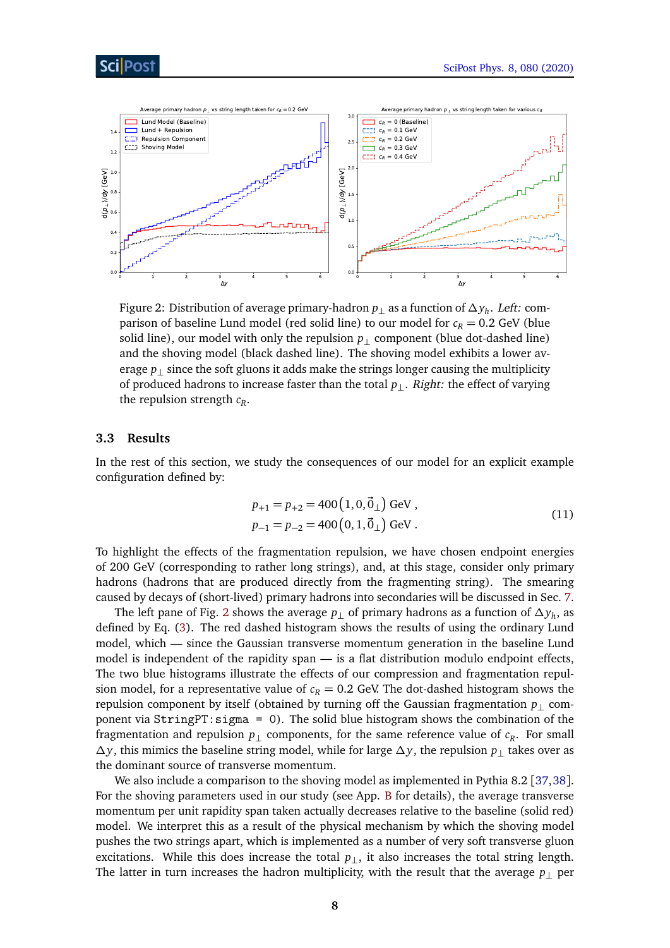

<span id="page-7-1"></span>

Figure 2: Distribution of average primary-hadron *p*<sup>⊥</sup> as a function of *∆y<sup>h</sup>* . Left: comparison of baseline Lund model (red solid line) to our model for  $c_R = 0.2$  GeV (blue solid line), our model with only the repulsion  $p_1$  component (blue dot-dashed line) and the shoving model (black dashed line). The shoving model exhibits a lower average  $p_{\perp}$  since the soft gluons it adds make the strings longer causing the multiplicity of produced hadrons to increase faster than the total *p*⊥. Right: the effect of varying the repulsion strength *c<sup>R</sup>* .

#### <span id="page-7-0"></span>**3.3 Results**

In the rest of this section, we study the consequences of our model for an explicit example configuration defined by:

$$
p_{+1} = p_{+2} = 400 (1, 0, \vec{0}_{\perp}) \text{ GeV},
$$
  
\n
$$
p_{-1} = p_{-2} = 400 (0, 1, \vec{0}_{\perp}) \text{ GeV}.
$$
 (11)

To highlight the effects of the fragmentation repulsion, we have chosen endpoint energies of 200 GeV (corresponding to rather long strings), and, at this stage, consider only primary hadrons (hadrons that are produced directly from the fragmenting string). The smearing caused by decays of (short-lived) primary hadrons into secondaries will be discussed in Sec. [7.](#page-18-0)

The left pane of Fig. [2](#page-7-1) shows the average *p*<sup>⊥</sup> of primary hadrons as a function of *∆y<sup>h</sup>* , as defined by Eq. [\(3\)](#page-4-1). The red dashed histogram shows the results of using the ordinary Lund model, which — since the Gaussian transverse momentum generation in the baseline Lund model is independent of the rapidity span — is a flat distribution modulo endpoint effects, The two blue histograms illustrate the effects of our compression and fragmentation repulsion model, for a representative value of  $c_R = 0.2$  GeV. The dot-dashed histogram shows the repulsion component by itself (obtained by turning off the Gaussian fragmentation  $p_{\perp}$  component via StringPT:sigma = 0). The solid blue histogram shows the combination of the fragmentation and repulsion  $p_{\perp}$  components, for the same reference value of  $c_R$ . For small *∆y*, this mimics the baseline string model, while for large *∆y*, the repulsion *p*⊥ takes over as the dominant source of transverse momentum.

We also include a comparison to the shoving model as implemented in Pythia 8.2 [[37,](#page-25-8)[38](#page-25-9)]. For the shoving parameters used in our study (see App. [B](#page-22-1) for details), the average transverse momentum per unit rapidity span taken actually decreases relative to the baseline (solid red) model. We interpret this as a result of the physical mechanism by which the shoving model pushes the two strings apart, which is implemented as a number of very soft transverse gluon excitations. While this does increase the total  $p_{\perp}$ , it also increases the total string length. The latter in turn increases the hadron multiplicity, with the result that the average  $p_{\perp}$  per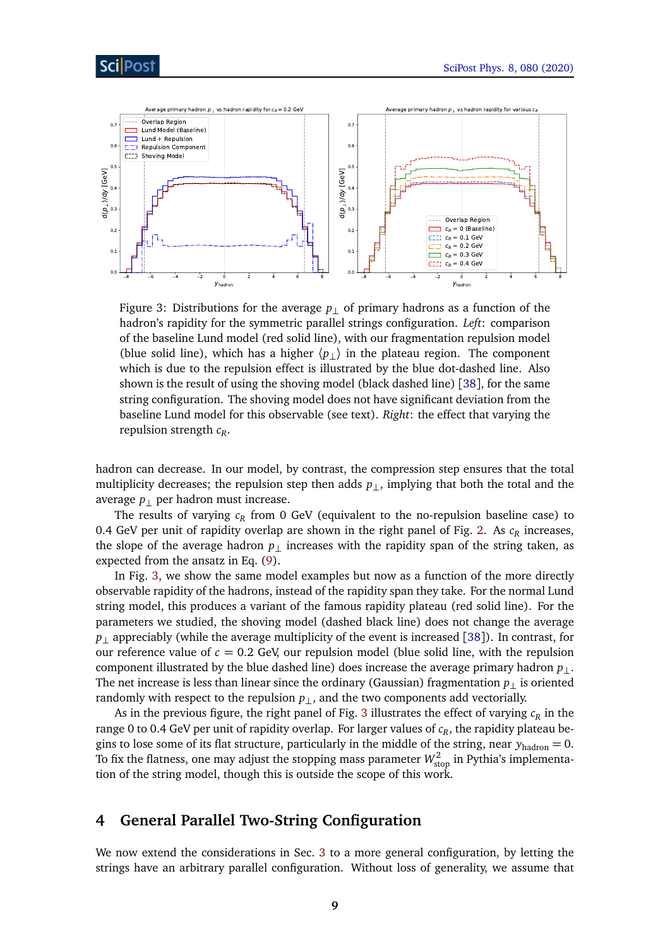<span id="page-8-1"></span>

Figure 3: Distributions for the average  $p_{\perp}$  of primary hadrons as a function of the hadron's rapidity for the symmetric parallel strings configuration. *Left*: comparison of the baseline Lund model (red solid line), with our fragmentation repulsion model (blue solid line), which has a higher  $\langle p_{\perp} \rangle$  in the plateau region. The component which is due to the repulsion effect is illustrated by the blue dot-dashed line. Also shown is the result of using the shoving model (black dashed line) [[38](#page-25-9)], for the same string configuration. The shoving model does not have significant deviation from the baseline Lund model for this observable (see text). *Right*: the effect that varying the repulsion strength *c<sup>R</sup>* .

hadron can decrease. In our model, by contrast, the compression step ensures that the total multiplicity decreases; the repulsion step then adds *p*⊥, implying that both the total and the average  $p_{\perp}$  per hadron must increase.

The results of varying *c<sup>R</sup>* from 0 GeV (equivalent to the no-repulsion baseline case) to 0.4 GeV per unit of rapidity overlap are shown in the right panel of Fig. [2.](#page-7-1) As *c<sup>R</sup>* increases, the slope of the average hadron  $p_{\perp}$  increases with the rapidity span of the string taken, as expected from the ansatz in Eq. [\(9\)](#page-6-1).

In Fig. [3,](#page-8-1) we show the same model examples but now as a function of the more directly observable rapidity of the hadrons, instead of the rapidity span they take. For the normal Lund string model, this produces a variant of the famous rapidity plateau (red solid line). For the parameters we studied, the shoving model (dashed black line) does not change the average *p*⊥ appreciably (while the average multiplicity of the event is increased [[38](#page-25-9)]). In contrast, for our reference value of  $c = 0.2$  GeV, our repulsion model (blue solid line, with the repulsion component illustrated by the blue dashed line) does increase the average primary hadron *p*⊥. The net increase is less than linear since the ordinary (Gaussian) fragmentation  $p_{\perp}$  is oriented randomly with respect to the repulsion  $p_{\perp}$ , and the two components add vectorially.

As in the previous figure, the right panel of Fig. [3](#page-8-1) illustrates the effect of varying  $c_R$  in the range 0 to 0.4 GeV per unit of rapidity overlap. For larger values of  $c_R^{}$ , the rapidity plateau begins to lose some of its flat structure, particularly in the middle of the string, near  $y_{\text{hadron}} = 0$ . To fix the flatness, one may adjust the stopping mass parameter  $W_{\rm stop}^2$  in Pythia's implementation of the string model, though this is outside the scope of this work.

## <span id="page-8-0"></span>**4 General Parallel Two-String Configuration**

We now extend the considerations in Sec. [3](#page-4-0) to a more general configuration, by letting the strings have an arbitrary parallel configuration. Without loss of generality, we assume that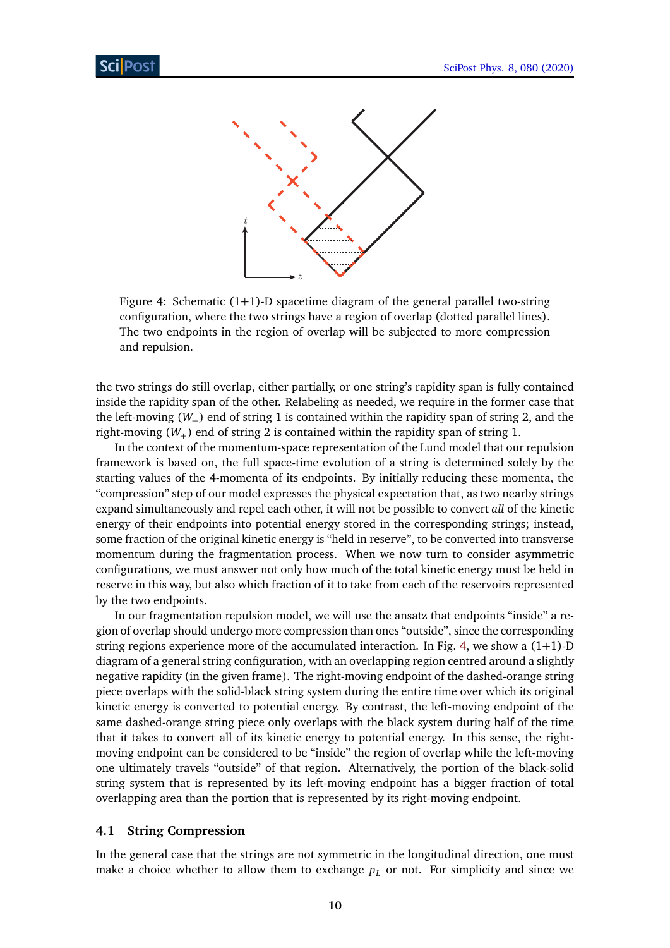<span id="page-9-1"></span>

Figure 4: Schematic  $(1+1)$ -D spacetime diagram of the general parallel two-string configuration, where the two strings have a region of overlap (dotted parallel lines). The two endpoints in the region of overlap will be subjected to more compression and repulsion.

the two strings do still overlap, either partially, or one string's rapidity span is fully contained inside the rapidity span of the other. Relabeling as needed, we require in the former case that the left-moving (*W*−) end of string 1 is contained within the rapidity span of string 2, and the right-moving  $(W_+)$  end of string 2 is contained within the rapidity span of string 1.

In the context of the momentum-space representation of the Lund model that our repulsion framework is based on, the full space-time evolution of a string is determined solely by the starting values of the 4-momenta of its endpoints. By initially reducing these momenta, the "compression" step of our model expresses the physical expectation that, as two nearby strings expand simultaneously and repel each other, it will not be possible to convert *all* of the kinetic energy of their endpoints into potential energy stored in the corresponding strings; instead, some fraction of the original kinetic energy is "held in reserve", to be converted into transverse momentum during the fragmentation process. When we now turn to consider asymmetric configurations, we must answer not only how much of the total kinetic energy must be held in reserve in this way, but also which fraction of it to take from each of the reservoirs represented by the two endpoints.

In our fragmentation repulsion model, we will use the ansatz that endpoints "inside" a region of overlap should undergo more compression than ones "outside", since the corresponding string regions experience more of the accumulated interaction. In Fig. [4,](#page-9-1) we show a  $(1+1)$ -D diagram of a general string configuration, with an overlapping region centred around a slightly negative rapidity (in the given frame). The right-moving endpoint of the dashed-orange string piece overlaps with the solid-black string system during the entire time over which its original kinetic energy is converted to potential energy. By contrast, the left-moving endpoint of the same dashed-orange string piece only overlaps with the black system during half of the time that it takes to convert all of its kinetic energy to potential energy. In this sense, the rightmoving endpoint can be considered to be "inside" the region of overlap while the left-moving one ultimately travels "outside" of that region. Alternatively, the portion of the black-solid string system that is represented by its left-moving endpoint has a bigger fraction of total overlapping area than the portion that is represented by its right-moving endpoint.

#### <span id="page-9-0"></span>**4.1 String Compression**

In the general case that the strings are not symmetric in the longitudinal direction, one must make a choice whether to allow them to exchange  $p_L$  or not. For simplicity and since we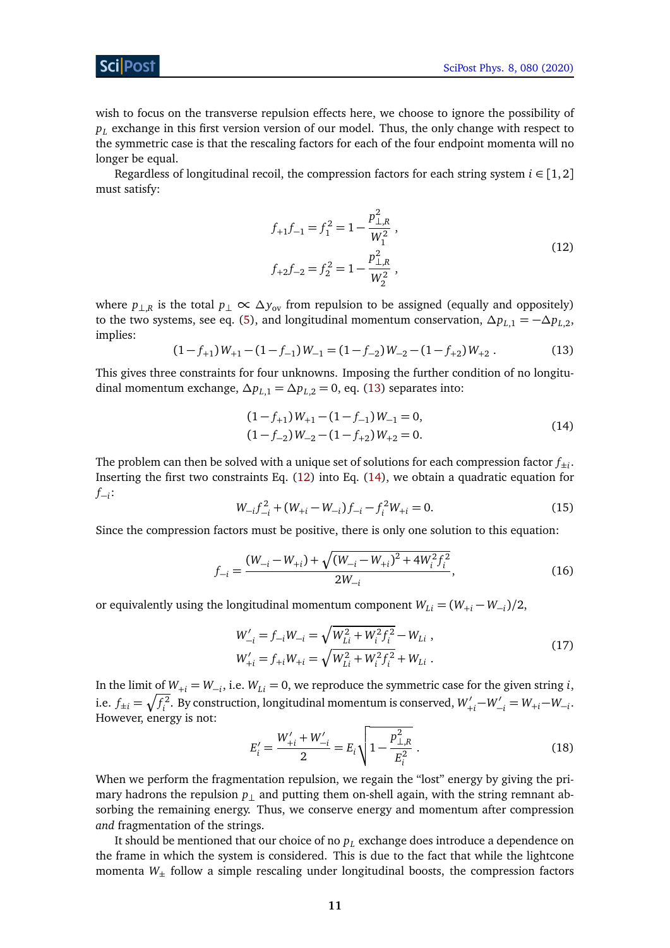### ScilPos<sup>.</sup>

wish to focus on the transverse repulsion effects here, we choose to ignore the possibility of *p<sup>L</sup>* exchange in this first version version of our model. Thus, the only change with respect to the symmetric case is that the rescaling factors for each of the four endpoint momenta will no longer be equal.

<span id="page-10-1"></span>Regardless of longitudinal recoil, the compression factors for each string system  $i \in [1,2]$ must satisfy:

$$
f_{+1}f_{-1} = f_1^2 = 1 - \frac{p_{\perp,R}^2}{W_1^2},
$$
  

$$
f_{+2}f_{-2} = f_2^2 = 1 - \frac{p_{\perp,R}^2}{W_2^2},
$$
 (12)

where  $p_{\perp,R}$  is the total  $p_{\perp} \propto \Delta y_{\text{ov}}$  from repulsion to be assigned (equally and oppositely) to the two systems, see eq. [\(5\)](#page-5-2), and longitudinal momentum conservation,  $\Delta p_{L,1} = -\Delta p_{L,2}$ , implies:

<span id="page-10-0"></span>
$$
(1 - f_{+1})W_{+1} - (1 - f_{-1})W_{-1} = (1 - f_{-2})W_{-2} - (1 - f_{+2})W_{+2}.
$$
 (13)

This gives three constraints for four unknowns. Imposing the further condition of no longitudinal momentum exchange,  $\Delta p_{L,1} = \Delta p_{L,2} = 0$ , eq. [\(13\)](#page-10-0) separates into:

<span id="page-10-2"></span>
$$
(1 - f_{+1})W_{+1} - (1 - f_{-1})W_{-1} = 0,
$$
  
\n
$$
(1 - f_{-2})W_{-2} - (1 - f_{+2})W_{+2} = 0.
$$
\n(14)

The problem can then be solved with a unique set of solutions for each compression factor  $f_{\pm i}.$ Inserting the first two constraints Eq. [\(12\)](#page-10-1) into Eq. [\(14\)](#page-10-2), we obtain a quadratic equation for *f*−*i* :

<span id="page-10-3"></span>
$$
W_{-i}f_{-i}^2 + (W_{+i} - W_{-i})f_{-i} - f_i^2 W_{+i} = 0.
$$
\n(15)

Since the compression factors must be positive, there is only one solution to this equation:

$$
f_{-i} = \frac{(W_{-i} - W_{+i}) + \sqrt{(W_{-i} - W_{+i})^2 + 4W_i^2 f_i^2}}{2W_{-i}},
$$
\n(16)

or equivalently using the longitudinal momentum component  $W_{Li} = (W_{+i} - W_{-i})/2$ ,

$$
W'_{-i} = f_{-i}W_{-i} = \sqrt{W_{Li}^2 + W_i^2 f_i^2} - W_{Li} ,
$$
  
\n
$$
W'_{+i} = f_{+i}W_{+i} = \sqrt{W_{Li}^2 + W_i^2 f_i^2} + W_{Li} .
$$
\n(17)

In the limit of  $W_{+i} = W_{-i}$ , i.e.  $W_{Li} = 0$ , we reproduce the symmetric case for the given string *i*, i.e.  $f_{\pm i} = \sqrt{f_i^2}$ . By construction, longitudinal momentum is conserved,  $W'_{+i} - W'_{-i} = W_{+i} - W_{-i}$ . However, energy is not:

$$
E'_{i} = \frac{W'_{+i} + W'_{-i}}{2} = E_{i} \sqrt{1 - \frac{p_{\perp, R}^{2}}{E_{i}^{2}}}.
$$
 (18)

When we perform the fragmentation repulsion, we regain the "lost" energy by giving the primary hadrons the repulsion  $p_{\perp}$  and putting them on-shell again, with the string remnant absorbing the remaining energy. Thus, we conserve energy and momentum after compression *and* fragmentation of the strings.

It should be mentioned that our choice of no *p<sup>L</sup>* exchange does introduce a dependence on the frame in which the system is considered. This is due to the fact that while the lightcone momenta *W*± follow a simple rescaling under longitudinal boosts, the compression factors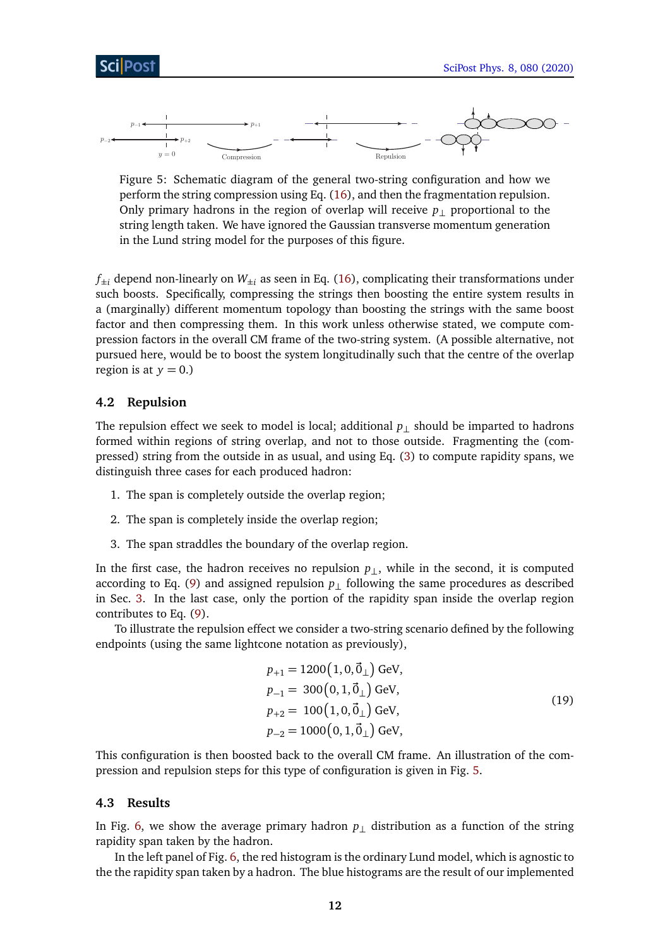<span id="page-11-2"></span>

Figure 5: Schematic diagram of the general two-string configuration and how we perform the string compression using Eq. [\(16\)](#page-10-3), and then the fragmentation repulsion. Only primary hadrons in the region of overlap will receive  $p_{\perp}$  proportional to the string length taken. We have ignored the Gaussian transverse momentum generation in the Lund string model for the purposes of this figure.

 $f_{\pm i}$  depend non-linearly on  $W_{\pm i}$  as seen in Eq. [\(16\)](#page-10-3), complicating their transformations under such boosts. Specifically, compressing the strings then boosting the entire system results in a (marginally) different momentum topology than boosting the strings with the same boost factor and then compressing them. In this work unless otherwise stated, we compute compression factors in the overall CM frame of the two-string system. (A possible alternative, not pursued here, would be to boost the system longitudinally such that the centre of the overlap region is at  $y = 0$ .)

### <span id="page-11-0"></span>**4.2 Repulsion**

The repulsion effect we seek to model is local; additional  $p_{\perp}$  should be imparted to hadrons formed within regions of string overlap, and not to those outside. Fragmenting the (compressed) string from the outside in as usual, and using Eq. [\(3\)](#page-4-1) to compute rapidity spans, we distinguish three cases for each produced hadron:

- 1. The span is completely outside the overlap region;
- 2. The span is completely inside the overlap region;
- 3. The span straddles the boundary of the overlap region.

In the first case, the hadron receives no repulsion *p*⊥, while in the second, it is computed according to Eq. [\(9\)](#page-6-1) and assigned repulsion  $p_{\perp}$  following the same procedures as described in Sec. [3.](#page-4-0) In the last case, only the portion of the rapidity span inside the overlap region contributes to Eq. [\(9\)](#page-6-1).

To illustrate the repulsion effect we consider a two-string scenario defined by the following endpoints (using the same lightcone notation as previously),

<span id="page-11-3"></span>
$$
p_{+1} = 1200 (1, 0, \vec{0}_{\perp}) \text{ GeV},
$$
  
\n
$$
p_{-1} = 300 (0, 1, \vec{0}_{\perp}) \text{ GeV},
$$
  
\n
$$
p_{+2} = 100 (1, 0, \vec{0}_{\perp}) \text{ GeV},
$$
  
\n
$$
p_{-2} = 1000 (0, 1, \vec{0}_{\perp}) \text{ GeV},
$$
  
\n(19)

This configuration is then boosted back to the overall CM frame. An illustration of the compression and repulsion steps for this type of configuration is given in Fig. [5.](#page-11-2)

#### <span id="page-11-1"></span>**4.3 Results**

In Fig. [6,](#page-12-0) we show the average primary hadron  $p_{\perp}$  distribution as a function of the string rapidity span taken by the hadron.

In the left panel of Fig. [6,](#page-12-0) the red histogram is the ordinary Lund model, which is agnostic to the the rapidity span taken by a hadron. The blue histograms are the result of our implemented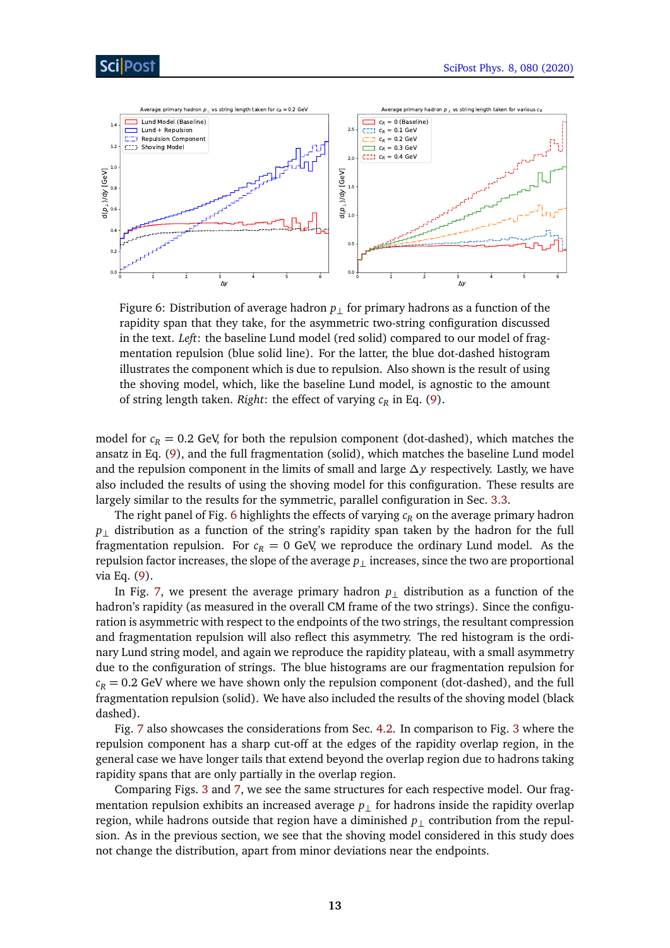

<span id="page-12-0"></span>

Figure 6: Distribution of average hadron  $p_{\perp}$  for primary hadrons as a function of the rapidity span that they take, for the asymmetric two-string configuration discussed in the text. *Left*: the baseline Lund model (red solid) compared to our model of fragmentation repulsion (blue solid line). For the latter, the blue dot-dashed histogram illustrates the component which is due to repulsion. Also shown is the result of using the shoving model, which, like the baseline Lund model, is agnostic to the amount of string length taken. *Right*: the effect of varying *c<sup>R</sup>* in Eq. [\(9\)](#page-6-1).

model for  $c_R$  = 0.2 GeV, for both the repulsion component (dot-dashed), which matches the ansatz in Eq. [\(9\)](#page-6-1), and the full fragmentation (solid), which matches the baseline Lund model and the repulsion component in the limits of small and large *∆y* respectively. Lastly, we have also included the results of using the shoving model for this configuration. These results are largely similar to the results for the symmetric, parallel configuration in Sec. [3.3.](#page-7-0)

The right panel of Fig. [6](#page-12-0) highlights the effects of varying *c<sup>R</sup>* on the average primary hadron *p*<sub>⊥</sub> distribution as a function of the string's rapidity span taken by the hadron for the full fragmentation repulsion. For  $c_R = 0$  GeV, we reproduce the ordinary Lund model. As the repulsion factor increases, the slope of the average *p*⊥ increases, since the two are proportional via Eq. [\(9\)](#page-6-1).

In Fig. [7,](#page-13-2) we present the average primary hadron  $p_{\perp}$  distribution as a function of the hadron's rapidity (as measured in the overall CM frame of the two strings). Since the configuration is asymmetric with respect to the endpoints of the two strings, the resultant compression and fragmentation repulsion will also reflect this asymmetry. The red histogram is the ordinary Lund string model, and again we reproduce the rapidity plateau, with a small asymmetry due to the configuration of strings. The blue histograms are our fragmentation repulsion for  $c_R$  = 0.2 GeV where we have shown only the repulsion component (dot-dashed), and the full fragmentation repulsion (solid). We have also included the results of the shoving model (black dashed).

Fig. [7](#page-13-2) also showcases the considerations from Sec. [4.2.](#page-11-0) In comparison to Fig. [3](#page-8-1) where the repulsion component has a sharp cut-off at the edges of the rapidity overlap region, in the general case we have longer tails that extend beyond the overlap region due to hadrons taking rapidity spans that are only partially in the overlap region.

Comparing Figs. [3](#page-8-1) and [7,](#page-13-2) we see the same structures for each respective model. Our fragmentation repulsion exhibits an increased average *p*⊥ for hadrons inside the rapidity overlap region, while hadrons outside that region have a diminished *p*⊥ contribution from the repulsion. As in the previous section, we see that the shoving model considered in this study does not change the distribution, apart from minor deviations near the endpoints.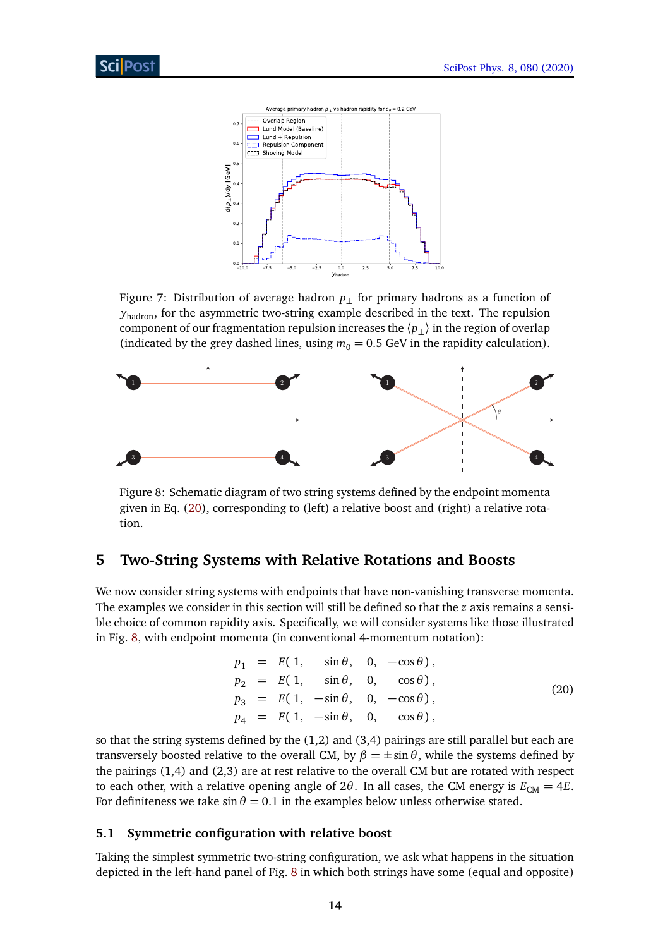<span id="page-13-2"></span>

Figure 7: Distribution of average hadron *p*⊥ for primary hadrons as a function of *y*<sub>hadron</sub>, for the asymmetric two-string example described in the text. The repulsion component of our fragmentation repulsion increases the 〈*p*⊥〉 in the region of overlap (indicated by the grey dashed lines, using  $m_0 = 0.5$  GeV in the rapidity calculation).

<span id="page-13-4"></span>

Figure 8: Schematic diagram of two string systems defined by the endpoint momenta given in Eq. [\(20\)](#page-13-3), corresponding to (left) a relative boost and (right) a relative rotation.

## <span id="page-13-0"></span>**5 Two-String Systems with Relative Rotations and Boosts**

We now consider string systems with endpoints that have non-vanishing transverse momenta. The examples we consider in this section will still be defined so that the *z* axis remains a sensible choice of common rapidity axis. Specifically, we will consider systems like those illustrated in Fig. [8,](#page-13-4) with endpoint momenta (in conventional 4-momentum notation):

<span id="page-13-3"></span>
$$
p_1 = E(1, \sin \theta, 0, -\cos \theta),
$$
  
\n
$$
p_2 = E(1, \sin \theta, 0, \cos \theta),
$$
  
\n
$$
p_3 = E(1, -\sin \theta, 0, -\cos \theta),
$$
  
\n
$$
p_4 = E(1, -\sin \theta, 0, \cos \theta),
$$
  
\n(20)

so that the string systems defined by the (1,2) and (3,4) pairings are still parallel but each are transversely boosted relative to the overall CM, by  $\beta = \pm \sin \theta$ , while the systems defined by the pairings (1,4) and (2,3) are at rest relative to the overall CM but are rotated with respect to each other, with a relative opening angle of  $2\theta$ . In all cases, the CM energy is  $E_{CM} = 4E$ . For definiteness we take  $\sin \theta = 0.1$  in the examples below unless otherwise stated.

#### <span id="page-13-1"></span>**5.1 Symmetric configuration with relative boost**

Taking the simplest symmetric two-string configuration, we ask what happens in the situation depicted in the left-hand panel of Fig. [8](#page-13-4) in which both strings have some (equal and opposite)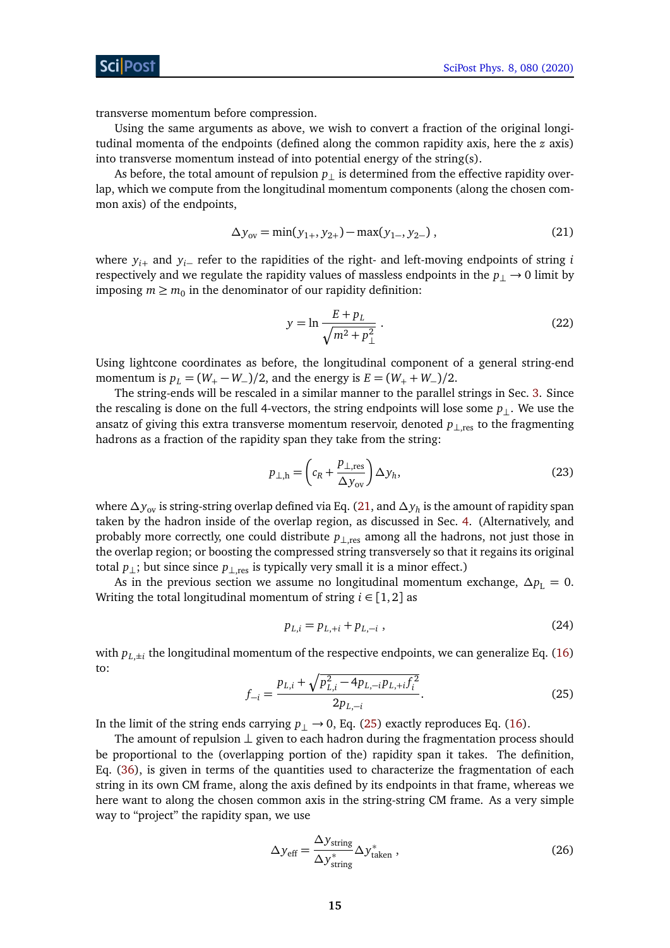transverse momentum before compression.

Using the same arguments as above, we wish to convert a fraction of the original longitudinal momenta of the endpoints (defined along the common rapidity axis, here the *z* axis) into transverse momentum instead of into potential energy of the string(s).

As before, the total amount of repulsion  $p_{\perp}$  is determined from the effective rapidity overlap, which we compute from the longitudinal momentum components (along the chosen common axis) of the endpoints,

<span id="page-14-0"></span>
$$
\Delta y_{ov} = \min(y_{1+}, y_{2+}) - \max(y_{1-}, y_{2-}), \qquad (21)
$$

where *yi*<sup>+</sup> and *yi*<sup>−</sup> refer to the rapidities of the right- and left-moving endpoints of string *i* respectively and we regulate the rapidity values of massless endpoints in the *p*<sup>⊥</sup> → 0 limit by imposing  $m \geq m_0$  in the denominator of our rapidity definition:

$$
y = \ln \frac{E + p_L}{\sqrt{m^2 + p_\perp^2}} \,. \tag{22}
$$

Using lightcone coordinates as before, the longitudinal component of a general string-end momentum is  $p_L = (W_+ - W_-)/2$ , and the energy is  $E = (W_+ + W_-)/2$ .

The string-ends will be rescaled in a similar manner to the parallel strings in Sec. [3.](#page-4-0) Since the rescaling is done on the full 4-vectors, the string endpoints will lose some  $p_{\perp}$ . We use the ansatz of giving this extra transverse momentum reservoir, denoted *p*⊥,res to the fragmenting hadrons as a fraction of the rapidity span they take from the string:

$$
p_{\perp,h} = \left(c_R + \frac{p_{\perp, \text{res}}}{\Delta y_{\text{ov}}}\right) \Delta y_h,\tag{23}
$$

where *∆y*ov is string-string overlap defined via Eq. [\(21,](#page-14-0) and *∆y<sup>h</sup>* is the amount of rapidity span taken by the hadron inside of the overlap region, as discussed in Sec. [4.](#page-8-0) (Alternatively, and probably more correctly, one could distribute *p*⊥,res among all the hadrons, not just those in the overlap region; or boosting the compressed string transversely so that it regains its original total  $p_{\perp}$ ; but since since  $p_{\perp, res}$  is typically very small it is a minor effect.)

As in the previous section we assume no longitudinal momentum exchange,  $\Delta p_{\rm L} = 0$ . Writing the total longitudinal momentum of string  $i \in [1,2]$  as

$$
p_{L,i} = p_{L,+i} + p_{L,-i} \t\t(24)
$$

<span id="page-14-1"></span>with  $p_{L,\pm i}$  the longitudinal momentum of the respective endpoints, we can generalize Eq. [\(16\)](#page-10-3) to:

$$
f_{-i} = \frac{p_{L,i} + \sqrt{p_{L,i}^2 - 4p_{L,-i}p_{L,+i}f_i^2}}{2p_{L,-i}}.
$$
 (25)

In the limit of the string ends carrying  $p_{\perp}$  → 0, Eq. [\(25\)](#page-14-1) exactly reproduces Eq. [\(16\)](#page-10-3).

The amount of repulsion  $\perp$  given to each hadron during the fragmentation process should be proportional to the (overlapping portion of the) rapidity span it takes. The definition, Eq. [\(36\)](#page-22-2), is given in terms of the quantities used to characterize the fragmentation of each string in its own CM frame, along the axis defined by its endpoints in that frame, whereas we here want to along the chosen common axis in the string-string CM frame. As a very simple way to "project" the rapidity span, we use

<span id="page-14-2"></span>
$$
\Delta y_{\rm eff} = \frac{\Delta y_{\rm string}}{\Delta y_{\rm string}^*} \Delta y_{\rm taken}^*,\tag{26}
$$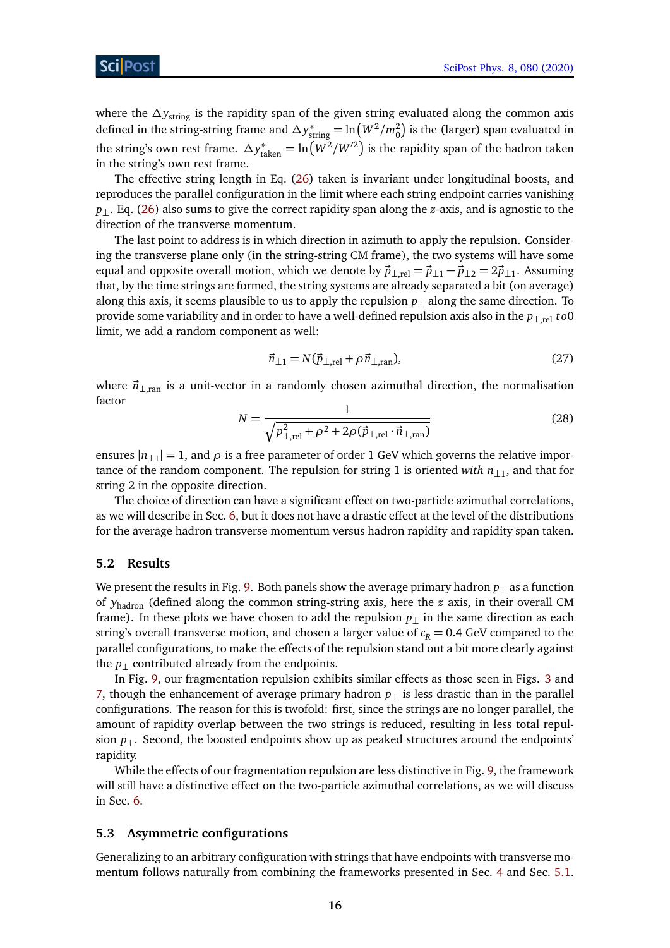where the  $\Delta y_{\text{string}}$  is the rapidity span of the given string evaluated along the common axis defined in the string-string frame and  $\Delta y^*_{\text{string}} = \ln(W^2/m_0^2)$  is the (larger) span evaluated in the string's own rest frame.  $\Delta y^*_{\text{taken}} = \ln \left( W^2/W'^2 \right)$  is the rapidity span of the hadron taken in the string's own rest frame.

The effective string length in Eq. [\(26\)](#page-14-2) taken is invariant under longitudinal boosts, and reproduces the parallel configuration in the limit where each string endpoint carries vanishing *p*<sub>⊥</sub>. Eq. [\(26\)](#page-14-2) also sums to give the correct rapidity span along the *z*-axis, and is agnostic to the direction of the transverse momentum.

The last point to address is in which direction in azimuth to apply the repulsion. Considering the transverse plane only (in the string-string CM frame), the two systems will have some equal and opposite overall motion, which we denote by  $\vec{p}_{\perp,rel} = \vec{p}_{\perp 1} - \vec{p}_{\perp 2} = 2\vec{p}_{\perp 1}$ . Assuming that, by the time strings are formed, the string systems are already separated a bit (on average) along this axis, it seems plausible to us to apply the repulsion  $p_{\perp}$  along the same direction. To provide some variability and in order to have a well-defined repulsion axis also in the *p*⊥,rel *t o*0 limit, we add a random component as well:

<span id="page-15-2"></span>
$$
\vec{n}_{\perp 1} = N(\vec{p}_{\perp, \text{rel}} + \rho \vec{n}_{\perp, \text{ran}}),\tag{27}
$$

where  $\vec{n}_{\perp,\text{ran}}$  is a unit-vector in a randomly chosen azimuthal direction, the normalisation factor

$$
N = \frac{1}{\sqrt{p_{\perp,\text{rel}}^2 + \rho^2 + 2\rho(\vec{p}_{\perp,\text{rel}} \cdot \vec{n}_{\perp,\text{ran}})}}
$$
(28)

ensures  $|n_{\perp 1}| = 1$ , and  $\rho$  is a free parameter of order 1 GeV which governs the relative importance of the random component. The repulsion for string 1 is oriented *with n*⊥<sup>1</sup> , and that for string 2 in the opposite direction.

The choice of direction can have a significant effect on two-particle azimuthal correlations, as we will describe in Sec. [6,](#page-17-0) but it does not have a drastic effect at the level of the distributions for the average hadron transverse momentum versus hadron rapidity and rapidity span taken.

#### <span id="page-15-0"></span>**5.2 Results**

We present the results in Fig. [9.](#page-16-1) Both panels show the average primary hadron  $p_{\perp}$  as a function of *y*hadron (defined along the common string-string axis, here the *z* axis, in their overall CM frame). In these plots we have chosen to add the repulsion  $p_{\perp}$  in the same direction as each string's overall transverse motion, and chosen a larger value of  $c_R = 0.4$  GeV compared to the parallel configurations, to make the effects of the repulsion stand out a bit more clearly against the  $p_{\perp}$  contributed already from the endpoints.

In Fig. [9,](#page-16-1) our fragmentation repulsion exhibits similar effects as those seen in Figs. [3](#page-8-1) and [7,](#page-13-2) though the enhancement of average primary hadron  $p_{\perp}$  is less drastic than in the parallel configurations. The reason for this is twofold: first, since the strings are no longer parallel, the amount of rapidity overlap between the two strings is reduced, resulting in less total repulsion *p*⊥. Second, the boosted endpoints show up as peaked structures around the endpoints' rapidity.

While the effects of our fragmentation repulsion are less distinctive in Fig. [9,](#page-16-1) the framework will still have a distinctive effect on the two-particle azimuthal correlations, as we will discuss in Sec. [6.](#page-17-0)

#### <span id="page-15-1"></span>**5.3 Asymmetric configurations**

Generalizing to an arbitrary configuration with strings that have endpoints with transverse mo-mentum follows naturally from combining the frameworks presented in Sec. [4](#page-8-0) and Sec. [5.1.](#page-13-1)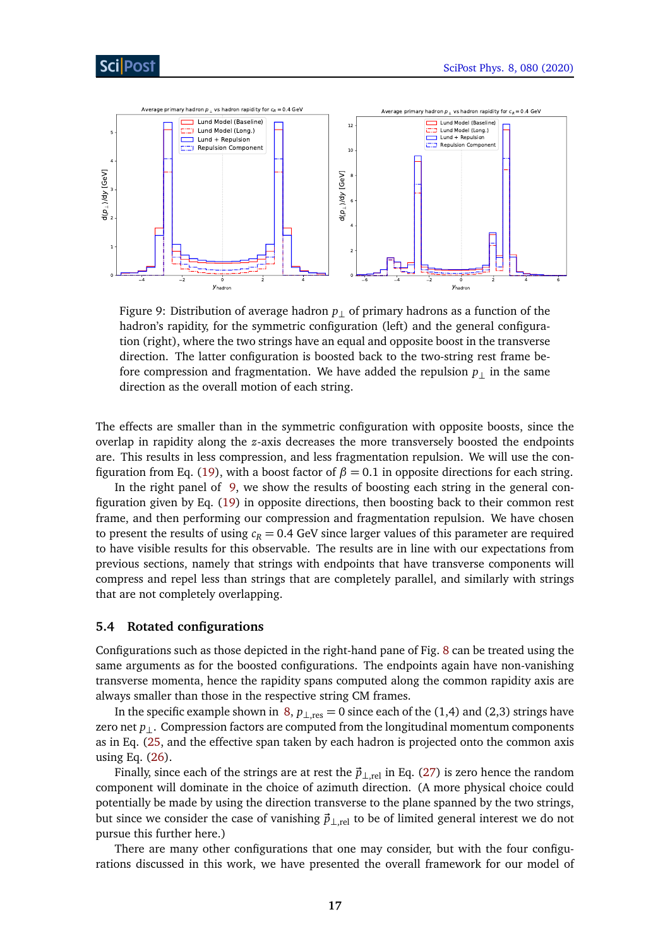<span id="page-16-1"></span>

Figure 9: Distribution of average hadron *p*⊥ of primary hadrons as a function of the hadron's rapidity, for the symmetric configuration (left) and the general configuration (right), where the two strings have an equal and opposite boost in the transverse direction. The latter configuration is boosted back to the two-string rest frame before compression and fragmentation. We have added the repulsion  $p_{\perp}$  in the same direction as the overall motion of each string.

The effects are smaller than in the symmetric configuration with opposite boosts, since the overlap in rapidity along the *z*-axis decreases the more transversely boosted the endpoints are. This results in less compression, and less fragmentation repulsion. We will use the con-figuration from Eq. [\(19\)](#page-11-3), with a boost factor of  $\beta = 0.1$  in opposite directions for each string.

In the right panel of [9,](#page-16-1) we show the results of boosting each string in the general configuration given by Eq. [\(19\)](#page-11-3) in opposite directions, then boosting back to their common rest frame, and then performing our compression and fragmentation repulsion. We have chosen to present the results of using  $c_R = 0.4$  GeV since larger values of this parameter are required to have visible results for this observable. The results are in line with our expectations from previous sections, namely that strings with endpoints that have transverse components will compress and repel less than strings that are completely parallel, and similarly with strings that are not completely overlapping.

### <span id="page-16-0"></span>**5.4 Rotated configurations**

Configurations such as those depicted in the right-hand pane of Fig. [8](#page-13-4) can be treated using the same arguments as for the boosted configurations. The endpoints again have non-vanishing transverse momenta, hence the rapidity spans computed along the common rapidity axis are always smaller than those in the respective string CM frames.

In the specific example shown in [8,](#page-13-4)  $p_{\perp, res} = 0$  since each of the (1,4) and (2,3) strings have zero net *p*⊥. Compression factors are computed from the longitudinal momentum components as in Eq. [\(25,](#page-14-1) and the effective span taken by each hadron is projected onto the common axis using Eq. [\(26\)](#page-14-2).

Finally, since each of the strings are at rest the  $\vec{p}_{\perp,\text{rel}}$  in Eq. [\(27\)](#page-15-2) is zero hence the random component will dominate in the choice of azimuth direction. (A more physical choice could potentially be made by using the direction transverse to the plane spanned by the two strings, but since we consider the case of vanishing  $\vec{p}_{\perp,\text{rel}}$  to be of limited general interest we do not pursue this further here.)

There are many other configurations that one may consider, but with the four configurations discussed in this work, we have presented the overall framework for our model of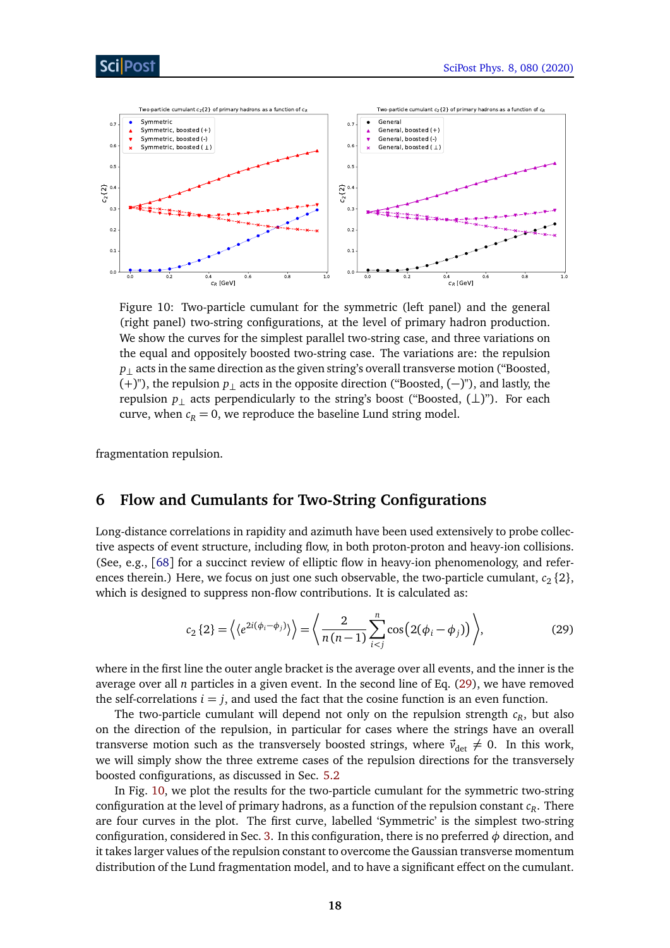<span id="page-17-2"></span>

Figure 10: Two-particle cumulant for the symmetric (left panel) and the general (right panel) two-string configurations, at the level of primary hadron production. We show the curves for the simplest parallel two-string case, and three variations on the equal and oppositely boosted two-string case. The variations are: the repulsion *p*⊥ acts in the same direction as the given string's overall transverse motion ("Boosted, (+)"), the repulsion *p*<sup>⊥</sup> acts in the opposite direction ("Boosted, (−)"), and lastly, the repulsion *p*<sup>⊥</sup> acts perpendicularly to the string's boost ("Boosted, (⊥)"). For each curve, when  $c_R = 0$ , we reproduce the baseline Lund string model.

fragmentation repulsion.

# <span id="page-17-0"></span>**6 Flow and Cumulants for Two-String Configurations**

Long-distance correlations in rapidity and azimuth have been used extensively to probe collective aspects of event structure, including flow, in both proton-proton and heavy-ion collisions. (See, e.g., [[68](#page-27-10)] for a succinct review of elliptic flow in heavy-ion phenomenology, and references therein.) Here, we focus on just one such observable, the two-particle cumulant,  $c_2$  {2}, which is designed to suppress non-flow contributions. It is calculated as:

<span id="page-17-1"></span>
$$
c_2\left\{2\right\} = \left\langle \left\langle e^{2i(\phi_i - \phi_j)} \right\rangle \right\rangle = \left\langle \frac{2}{n(n-1)} \sum_{i < j}^n \cos\left(2(\phi_i - \phi_j)\right) \right\rangle,\tag{29}
$$

where in the first line the outer angle bracket is the average over all events, and the inner is the average over all *n* particles in a given event. In the second line of Eq. [\(29\)](#page-17-1), we have removed the self-correlations  $i = j$ , and used the fact that the cosine function is an even function.

The two-particle cumulant will depend not only on the repulsion strength *c<sup>R</sup>* , but also on the direction of the repulsion, in particular for cases where the strings have an overall transverse motion such as the transversely boosted strings, where  $\vec{v}_{\text{det}} \neq 0$ . In this work, we will simply show the three extreme cases of the repulsion directions for the transversely boosted configurations, as discussed in Sec. [5.2](#page-15-0)

In Fig. [10,](#page-17-2) we plot the results for the two-particle cumulant for the symmetric two-string configuration at the level of primary hadrons, as a function of the repulsion constant *c<sup>R</sup>* . There are four curves in the plot. The first curve, labelled 'Symmetric' is the simplest two-string configuration, considered in Sec. [3.](#page-4-0) In this configuration, there is no preferred  $\phi$  direction, and it takes larger values of the repulsion constant to overcome the Gaussian transverse momentum distribution of the Lund fragmentation model, and to have a significant effect on the cumulant.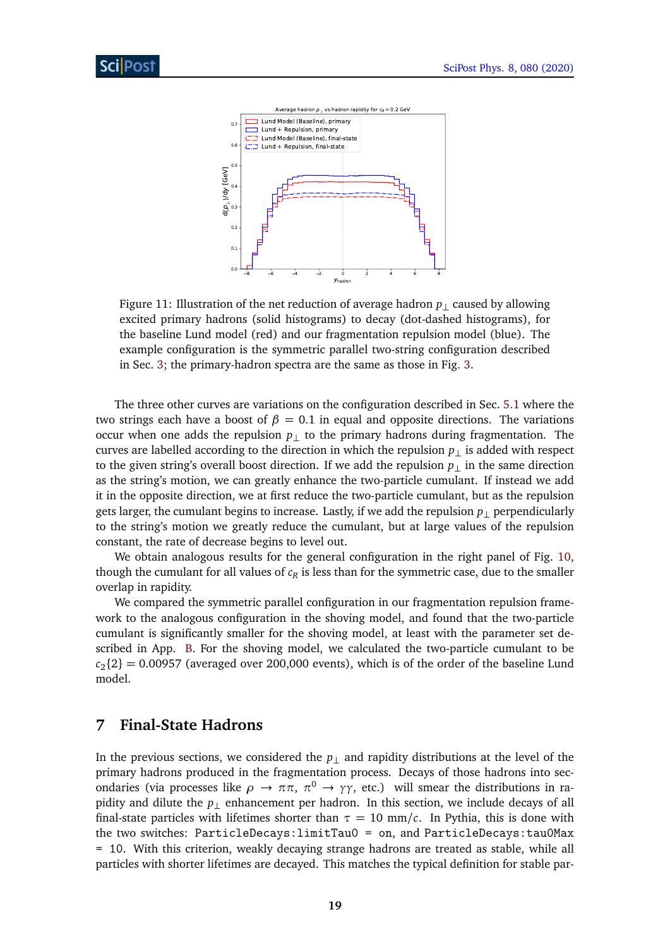<span id="page-18-1"></span>

Figure 11: Illustration of the net reduction of average hadron *p*⊥ caused by allowing excited primary hadrons (solid histograms) to decay (dot-dashed histograms), for the baseline Lund model (red) and our fragmentation repulsion model (blue). The example configuration is the symmetric parallel two-string configuration described in Sec. [3;](#page-4-0) the primary-hadron spectra are the same as those in Fig. [3.](#page-8-1)

The three other curves are variations on the configuration described in Sec. [5.1](#page-13-1) where the two strings each have a boost of  $β = 0.1$  in equal and opposite directions. The variations occur when one adds the repulsion  $p_{\perp}$  to the primary hadrons during fragmentation. The curves are labelled according to the direction in which the repulsion  $p_{\perp}$  is added with respect to the given string's overall boost direction. If we add the repulsion *p*⊥ in the same direction as the string's motion, we can greatly enhance the two-particle cumulant. If instead we add it in the opposite direction, we at first reduce the two-particle cumulant, but as the repulsion gets larger, the cumulant begins to increase. Lastly, if we add the repulsion *p*⊥ perpendicularly to the string's motion we greatly reduce the cumulant, but at large values of the repulsion constant, the rate of decrease begins to level out.

We obtain analogous results for the general configuration in the right panel of Fig. [10,](#page-17-2) though the cumulant for all values of  $c_R$  is less than for the symmetric case, due to the smaller overlap in rapidity.

We compared the symmetric parallel configuration in our fragmentation repulsion framework to the analogous configuration in the shoving model, and found that the two-particle cumulant is significantly smaller for the shoving model, at least with the parameter set described in App. [B.](#page-22-1) For the shoving model, we calculated the two-particle cumulant to be  $c_2$ {2} = 0.00957 (averaged over 200,000 events), which is of the order of the baseline Lund model.

## <span id="page-18-0"></span>**7 Final-State Hadrons**

In the previous sections, we considered the *p*⊥ and rapidity distributions at the level of the primary hadrons produced in the fragmentation process. Decays of those hadrons into secondaries (via processes like  $ρ$  →  $ππ$ ,  $π<sup>0</sup>$  →  $γγ$ , etc.) will smear the distributions in rapidity and dilute the *p*⊥ enhancement per hadron. In this section, we include decays of all final-state particles with lifetimes shorter than  $\tau = 10$  mm/c. In Pythia, this is done with the two switches: ParticleDecays:limitTau0 = on, and ParticleDecays:tau0Max = 10. With this criterion, weakly decaying strange hadrons are treated as stable, while all particles with shorter lifetimes are decayed. This matches the typical definition for stable par-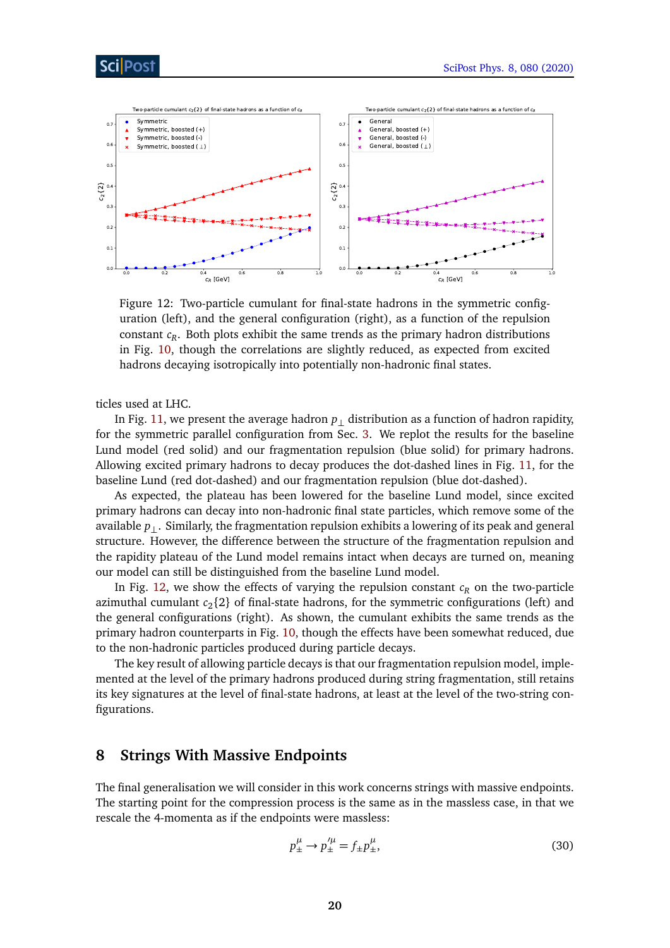## Sci Post

<span id="page-19-1"></span>

Figure 12: Two-particle cumulant for final-state hadrons in the symmetric configuration (left), and the general configuration (right), as a function of the repulsion constant *c<sup>R</sup>* . Both plots exhibit the same trends as the primary hadron distributions in Fig. [10,](#page-17-2) though the correlations are slightly reduced, as expected from excited hadrons decaying isotropically into potentially non-hadronic final states.

ticles used at LHC.

In Fig. [11,](#page-18-1) we present the average hadron  $p_{\perp}$  distribution as a function of hadron rapidity, for the symmetric parallel configuration from Sec. [3.](#page-4-0) We replot the results for the baseline Lund model (red solid) and our fragmentation repulsion (blue solid) for primary hadrons. Allowing excited primary hadrons to decay produces the dot-dashed lines in Fig. [11,](#page-18-1) for the baseline Lund (red dot-dashed) and our fragmentation repulsion (blue dot-dashed).

As expected, the plateau has been lowered for the baseline Lund model, since excited primary hadrons can decay into non-hadronic final state particles, which remove some of the available *p*⊥. Similarly, the fragmentation repulsion exhibits a lowering of its peak and general structure. However, the difference between the structure of the fragmentation repulsion and the rapidity plateau of the Lund model remains intact when decays are turned on, meaning our model can still be distinguished from the baseline Lund model.

In Fig. [12,](#page-19-1) we show the effects of varying the repulsion constant  $c_R$  on the two-particle azimuthal cumulant  $c_2$ {2} of final-state hadrons, for the symmetric configurations (left) and the general configurations (right). As shown, the cumulant exhibits the same trends as the primary hadron counterparts in Fig. [10,](#page-17-2) though the effects have been somewhat reduced, due to the non-hadronic particles produced during particle decays.

The key result of allowing particle decays is that our fragmentation repulsion model, implemented at the level of the primary hadrons produced during string fragmentation, still retains its key signatures at the level of final-state hadrons, at least at the level of the two-string configurations.

### <span id="page-19-0"></span>**8 Strings With Massive Endpoints**

The final generalisation we will consider in this work concerns strings with massive endpoints. The starting point for the compression process is the same as in the massless case, in that we rescale the 4-momenta as if the endpoints were massless:

$$
p_{\pm}^{\mu} \to p_{\pm}^{\prime \mu} = f_{\pm} p_{\pm}^{\mu}, \tag{30}
$$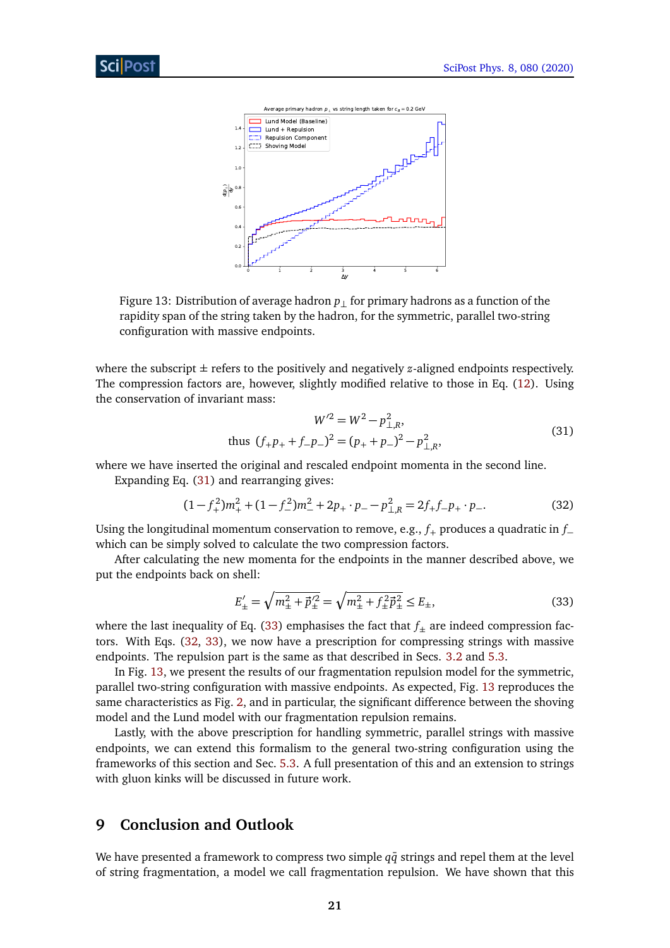<span id="page-20-4"></span>

Figure 13: Distribution of average hadron *p*⊥ for primary hadrons as a function of the rapidity span of the string taken by the hadron, for the symmetric, parallel two-string configuration with massive endpoints.

where the subscript  $\pm$  refers to the positively and negatively *z*-aligned endpoints respectively. The compression factors are, however, slightly modified relative to those in Eq. [\(12\)](#page-10-1). Using the conservation of invariant mass:

<span id="page-20-3"></span><span id="page-20-1"></span>
$$
W'^{2} = W^{2} - p_{\perp,R}^{2},
$$
  
thus  $(f_{+}p_{+} + f_{-}p_{-})^{2} = (p_{+} + p_{-})^{2} - p_{\perp,R}^{2},$  (31)

where we have inserted the original and rescaled endpoint momenta in the second line.

Expanding Eq. [\(31\)](#page-20-1) and rearranging gives:

$$
(1 - f_{+}^{2})m_{+}^{2} + (1 - f_{-}^{2})m_{-}^{2} + 2p_{+} \cdot p_{-} - p_{\perp,R}^{2} = 2f_{+}f_{-}p_{+} \cdot p_{-}.
$$
 (32)

Using the longitudinal momentum conservation to remove, e.g., *f*<sup>+</sup> produces a quadratic in *f*<sup>−</sup> which can be simply solved to calculate the two compression factors.

After calculating the new momenta for the endpoints in the manner described above, we put the endpoints back on shell:

<span id="page-20-2"></span>
$$
E'_{\pm} = \sqrt{m_{\pm}^2 + \vec{p}_{\pm}'^2} = \sqrt{m_{\pm}^2 + f_{\pm}^2 \vec{p}_{\pm}^2} \le E_{\pm},\tag{33}
$$

where the last inequality of Eq. [\(33\)](#page-20-2) emphasises the fact that  $f_{\pm}$  are indeed compression factors. With Eqs. [\(32,](#page-20-3) [33\)](#page-20-2), we now have a prescription for compressing strings with massive endpoints. The repulsion part is the same as that described in Secs. [3.2](#page-6-0) and [5.3.](#page-15-1)

In Fig. [13,](#page-20-4) we present the results of our fragmentation repulsion model for the symmetric, parallel two-string configuration with massive endpoints. As expected, Fig. [13](#page-20-4) reproduces the same characteristics as Fig. [2,](#page-7-1) and in particular, the significant difference between the shoving model and the Lund model with our fragmentation repulsion remains.

Lastly, with the above prescription for handling symmetric, parallel strings with massive endpoints, we can extend this formalism to the general two-string configuration using the frameworks of this section and Sec. [5.3.](#page-15-1) A full presentation of this and an extension to strings with gluon kinks will be discussed in future work.

# <span id="page-20-0"></span>**9 Conclusion and Outlook**

We have presented a framework to compress two simple  $q\bar{q}$  strings and repel them at the level of string fragmentation, a model we call fragmentation repulsion. We have shown that this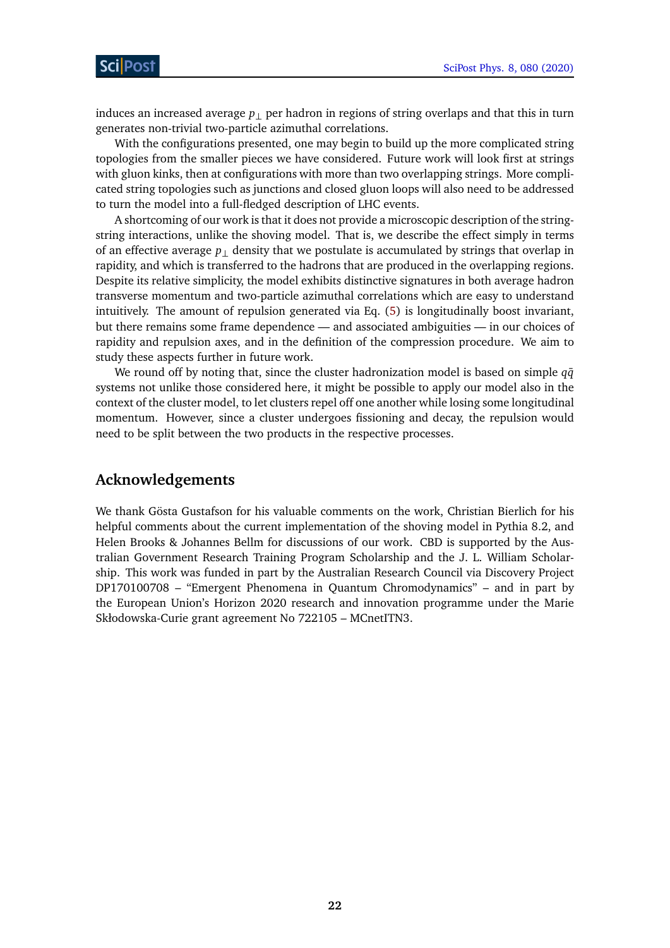induces an increased average *p*⊥ per hadron in regions of string overlaps and that this in turn generates non-trivial two-particle azimuthal correlations.

With the configurations presented, one may begin to build up the more complicated string topologies from the smaller pieces we have considered. Future work will look first at strings with gluon kinks, then at configurations with more than two overlapping strings. More complicated string topologies such as junctions and closed gluon loops will also need to be addressed to turn the model into a full-fledged description of LHC events.

A shortcoming of our work is that it does not provide a microscopic description of the stringstring interactions, unlike the shoving model. That is, we describe the effect simply in terms of an effective average  $p_{\perp}$  density that we postulate is accumulated by strings that overlap in rapidity, and which is transferred to the hadrons that are produced in the overlapping regions. Despite its relative simplicity, the model exhibits distinctive signatures in both average hadron transverse momentum and two-particle azimuthal correlations which are easy to understand intuitively. The amount of repulsion generated via Eq. [\(5\)](#page-5-2) is longitudinally boost invariant, but there remains some frame dependence — and associated ambiguities — in our choices of rapidity and repulsion axes, and in the definition of the compression procedure. We aim to study these aspects further in future work.

We round off by noting that, since the cluster hadronization model is based on simple  $q\bar{q}$ systems not unlike those considered here, it might be possible to apply our model also in the context of the cluster model, to let clusters repel off one another while losing some longitudinal momentum. However, since a cluster undergoes fissioning and decay, the repulsion would need to be split between the two products in the respective processes.

## **Acknowledgements**

We thank Gösta Gustafson for his valuable comments on the work, Christian Bierlich for his helpful comments about the current implementation of the shoving model in Pythia 8.2, and Helen Brooks & Johannes Bellm for discussions of our work. CBD is supported by the Australian Government Research Training Program Scholarship and the J. L. William Scholarship. This work was funded in part by the Australian Research Council via Discovery Project DP170100708 – "Emergent Phenomena in Quantum Chromodynamics" – and in part by the European Union's Horizon 2020 research and innovation programme under the Marie Skłodowska-Curie grant agreement No 722105 – MCnetITN3.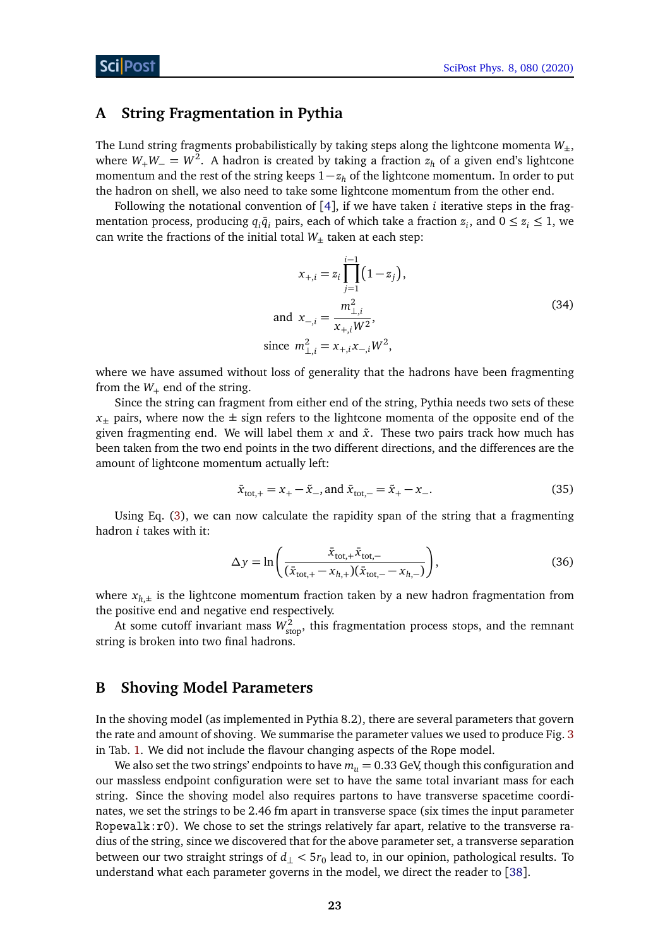## <span id="page-22-0"></span>**A String Fragmentation in Pythia**

The Lund string fragments probabilistically by taking steps along the lightcone momenta  $W_{\pm}$ , where *<sup>W</sup>*+*W*<sup>−</sup> <sup>=</sup> *<sup>W</sup>*<sup>2</sup> . A hadron is created by taking a fraction *z<sup>h</sup>* of a given end's lightcone momentum and the rest of the string keeps 1−*z<sup>h</sup>* of the lightcone momentum. In order to put the hadron on shell, we also need to take some lightcone momentum from the other end.

Following the notational convention of [[4](#page-23-2)], if we have taken *i* iterative steps in the fragmentation process, producing  $q_i\bar{q}_i$  pairs, each of which take a fraction  $z_i$ , and  $0 \leq z_i \leq 1$ , we can write the fractions of the initial total  $W_{\pm}$  taken at each step:

$$
x_{+,i} = z_i \prod_{j=1}^{i-1} (1 - z_j),
$$
  
and 
$$
x_{-,i} = \frac{m_{\perp,i}^2}{x_{+,i} W^2},
$$
  
since 
$$
m_{\perp,i}^2 = x_{+,i} x_{-,i} W^2,
$$
 (34)

where we have assumed without loss of generality that the hadrons have been fragmenting from the  $W_+$  end of the string.

Since the string can fragment from either end of the string, Pythia needs two sets of these  $x_{+}$  pairs, where now the  $\pm$  sign refers to the lightcone momenta of the opposite end of the given fragmenting end. We will label them  $x$  and  $\tilde{x}$ . These two pairs track how much has been taken from the two end points in the two different directions, and the differences are the amount of lightcone momentum actually left:

$$
\bar{x}_{\text{tot},+} = x_+ - \tilde{x}_-, \text{ and } \bar{x}_{\text{tot},-} = \tilde{x}_+ - x_-. \tag{35}
$$

Using Eq. [\(3\)](#page-4-1), we can now calculate the rapidity span of the string that a fragmenting hadron *i* takes with it:

<span id="page-22-2"></span>
$$
\Delta y = \ln \left( \frac{\bar{x}_{\text{tot},+} \bar{x}_{\text{tot},-}}{(\bar{x}_{\text{tot},+} - x_{h,+})(\bar{x}_{\text{tot},-} - x_{h,-})} \right),\tag{36}
$$

where  $x_{h,\pm}$  is the lightcone momentum fraction taken by a new hadron fragmentation from the positive end and negative end respectively.

At some cutoff invariant mass  $W_{\text{stop}}^2$ , this fragmentation process stops, and the remnant string is broken into two final hadrons.

### <span id="page-22-1"></span>**B Shoving Model Parameters**

In the shoving model (as implemented in Pythia 8.2), there are several parameters that govern the rate and amount of shoving. We summarise the parameter values we used to produce Fig. [3](#page-8-1) in Tab. [1.](#page-23-0) We did not include the flavour changing aspects of the Rope model.

We also set the two strings' endpoints to have  $m<sub>u</sub> = 0.33$  GeV, though this configuration and our massless endpoint configuration were set to have the same total invariant mass for each string. Since the shoving model also requires partons to have transverse spacetime coordinates, we set the strings to be 2.46 fm apart in transverse space (six times the input parameter Ropewalk: $r0$ ). We chose to set the strings relatively far apart, relative to the transverse radius of the string, since we discovered that for the above parameter set, a transverse separation between our two straight strings of *d*<sup>⊥</sup> *<* 5*r*<sup>0</sup> lead to, in our opinion, pathological results. To understand what each parameter governs in the model, we direct the reader to [[38](#page-25-9)].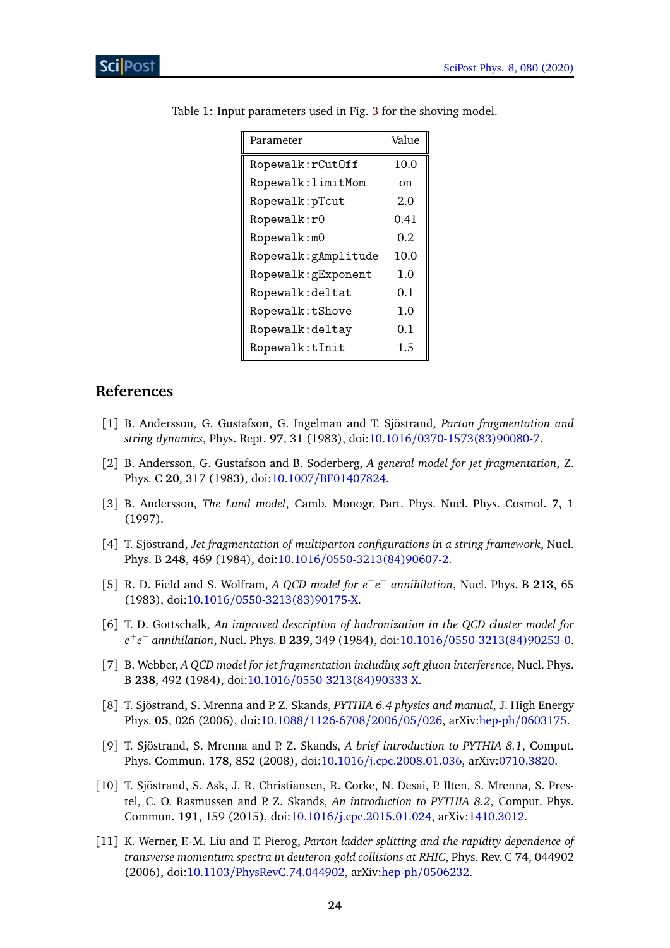| Parameter            | Value |
|----------------------|-------|
| Ropewalk: rCutOff    | 10.0  |
| Ropewalk: limitMom   | on    |
| Ropewalk: pTcut      | 2.0   |
| Ropewalk:r0          | 0.41  |
| Ropewalk: m0         | 0.2   |
| Ropewalk: gAmplitude | 10.0  |
| Ropewalk: gExponent  | 1.0   |
| Ropewalk: deltat     | 0.1   |
| Ropewalk:tShove      | 1.0   |
| Ropewalk: deltay     | 0.1   |
| Ropewalk:tInit       | 1.5   |

<span id="page-23-0"></span>Table 1: Input parameters used in Fig. [3](#page-8-1) for the shoving model.

# **References**

- <span id="page-23-1"></span>[1] B. Andersson, G. Gustafson, G. Ingelman and T. Sjöstrand, *Parton fragmentation and string dynamics*, Phys. Rept. **97**, 31 (1983), doi:10.1016/[0370-1573\(83\)90080-7.](http://dx.doi.org/10.1016/0370-1573(83)90080-7)
- [2] B. Andersson, G. Gustafson and B. Soderberg, *A general model for jet fragmentation*, Z. Phys. C **20**, 317 (1983), doi:10.1007/[BF01407824.](http://dx.doi.org/10.1007/BF01407824)
- [3] B. Andersson, *The Lund model*, Camb. Monogr. Part. Phys. Nucl. Phys. Cosmol. **7**, 1 (1997).
- <span id="page-23-2"></span>[4] T. Sjöstrand, *Jet fragmentation of multiparton configurations in a string framework*, Nucl. Phys. B **248**, 469 (1984), doi:10.1016/[0550-3213\(84\)90607-2.](http://dx.doi.org/10.1016/0550-3213(84)90607-2)
- <span id="page-23-3"></span>[5] R. D. Field and S. Wolfram, *A QCD model for e*+*e* <sup>−</sup> *annihilation*, Nucl. Phys. B **213**, 65 (1983), doi:10.1016/[0550-3213\(83\)90175-X.](http://dx.doi.org/10.1016/0550-3213(83)90175-X)
- [6] T. D. Gottschalk, *An improved description of hadronization in the QCD cluster model for e* +*e* <sup>−</sup> *annihilation*, Nucl. Phys. B **<sup>239</sup>**, 349 (1984), doi:10.1016/[0550-3213\(84\)90253-0.](http://dx.doi.org/10.1016/0550-3213(84)90253-0)
- <span id="page-23-4"></span>[7] B. Webber, *A QCD model for jet fragmentation including soft gluon interference*, Nucl. Phys. B **238**, 492 (1984), doi:10.1016/[0550-3213\(84\)90333-X.](http://dx.doi.org/10.1016/0550-3213(84)90333-X)
- <span id="page-23-5"></span>[8] T. Sjöstrand, S. Mrenna and P. Z. Skands, *PYTHIA 6.4 physics and manual*, J. High Energy Phys. **05**, 026 (2006), doi:10.1088/[1126-6708](http://dx.doi.org/10.1088/1126-6708/2006/05/026)/2006/05/026, arXiv:hep-ph/[0603175.](https://arxiv.org/abs/hep-ph/0603175)
- [9] T. Sjöstrand, S. Mrenna and P. Z. Skands, *A brief introduction to PYTHIA 8.1*, Comput. Phys. Commun. **178**, 852 (2008), doi:10.1016/[j.cpc.2008.01.036,](http://dx.doi.org/10.1016/j.cpc.2008.01.036) arXiv[:0710.3820.](https://arxiv.org/abs/0710.3820)
- <span id="page-23-6"></span>[10] T. Sjöstrand, S. Ask, J. R. Christiansen, R. Corke, N. Desai, P. Ilten, S. Mrenna, S. Prestel, C. O. Rasmussen and P. Z. Skands, *An introduction to PYTHIA 8.2*, Comput. Phys. Commun. **191**, 159 (2015), doi:10.1016/[j.cpc.2015.01.024,](http://dx.doi.org/10.1016/j.cpc.2015.01.024) arXiv[:1410.3012.](https://arxiv.org/abs/1410.3012)
- <span id="page-23-7"></span>[11] K. Werner, F.-M. Liu and T. Pierog, *Parton ladder splitting and the rapidity dependence of transverse momentum spectra in deuteron-gold collisions at RHIC*, Phys. Rev. C **74**, 044902 (2006), doi:10.1103/[PhysRevC.74.044902,](http://dx.doi.org/10.1103/PhysRevC.74.044902) arXiv:hep-ph/[0506232.](https://arxiv.org/abs/hep-ph/0506232)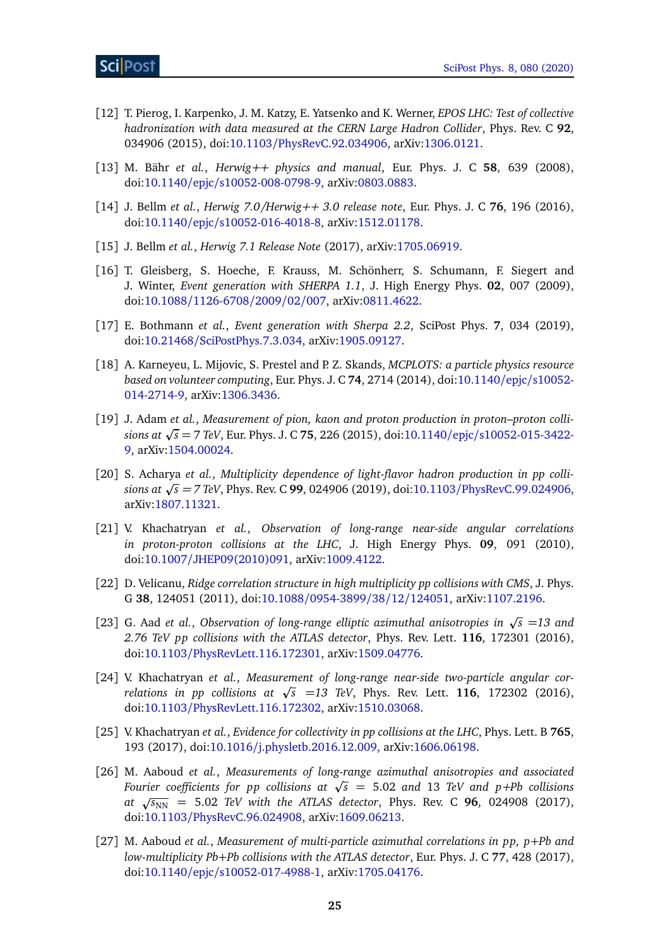- <span id="page-24-0"></span>[12] T. Pierog, I. Karpenko, J. M. Katzy, E. Yatsenko and K. Werner, *EPOS LHC: Test of collective hadronization with data measured at the CERN Large Hadron Collider*, Phys. Rev. C **92**, 034906 (2015), doi:10.1103/[PhysRevC.92.034906,](http://dx.doi.org/10.1103/PhysRevC.92.034906) arXiv[:1306.0121.](https://arxiv.org/abs/1306.0121)
- <span id="page-24-1"></span>[13] M. Bähr *et al.*, *Herwig++ physics and manual*, Eur. Phys. J. C **58**, 639 (2008), doi:10.1140/epjc/[s10052-008-0798-9,](http://dx.doi.org/10.1140/epjc/s10052-008-0798-9) arXiv[:0803.0883.](https://arxiv.org/abs/0803.0883)
- [14] J. Bellm *et al.*, *Herwig 7.0/Herwig++ 3.0 release note*, Eur. Phys. J. C **76**, 196 (2016), doi:10.1140/epjc/[s10052-016-4018-8,](http://dx.doi.org/10.1140/epjc/s10052-016-4018-8) arXiv[:1512.01178.](https://arxiv.org/abs/1512.01178)
- <span id="page-24-2"></span>[15] J. Bellm *et al.*, *Herwig 7.1 Release Note* (2017), arXiv[:1705.06919.](https://arxiv.org/abs/1705.06919)
- <span id="page-24-3"></span>[16] T. Gleisberg, S. Hoeche, F. Krauss, M. Schönherr, S. Schumann, F. Siegert and J. Winter, *Event generation with SHERPA 1.1*, J. High Energy Phys. **02**, 007 (2009), doi:10.1088/[1126-6708](http://dx.doi.org/10.1088/1126-6708/2009/02/007)/2009/02/007, arXiv[:0811.4622.](https://arxiv.org/abs/0811.4622)
- <span id="page-24-4"></span>[17] E. Bothmann *et al.*, *Event generation with Sherpa 2.2*, SciPost Phys. **7**, 034 (2019), doi:10.21468/[SciPostPhys.7.3.034,](http://dx.doi.org/10.21468/SciPostPhys.7.3.034) arXiv[:1905.09127.](https://arxiv.org/abs/1905.09127)
- <span id="page-24-5"></span>[18] A. Karneyeu, L. Mijovic, S. Prestel and P. Z. Skands, *MCPLOTS: a particle physics resource based on volunteer computing*, Eur. Phys. J. C **74**, 2714 (2014), doi[:10.1140](http://dx.doi.org/10.1140/epjc/s10052-014-2714-9)/epjc/s10052- [014-2714-9,](http://dx.doi.org/10.1140/epjc/s10052-014-2714-9) arXiv[:1306.3436.](https://arxiv.org/abs/1306.3436)
- <span id="page-24-6"></span>[19] J. Adam *et al.*, *Measurement of pion, kaon and proton production in proton–proton collisions at* <sup>p</sup> *s* = 7 *TeV*, Eur. Phys. J. C **75**, 226 (2015), doi:10.1140/epjc/[s10052-015-3422-](http://dx.doi.org/10.1140/epjc/s10052-015-3422-9) [9,](http://dx.doi.org/10.1140/epjc/s10052-015-3422-9) arXiv[:1504.00024.](https://arxiv.org/abs/1504.00024)
- <span id="page-24-7"></span>[20] S. Acharya et al., Multiplicity dependence of light-flavor hadron production in pp colli*sions at* <sup>p</sup> *s = 7 TeV*, Phys. Rev. C **99**, 024906 (2019), doi:10.1103/[PhysRevC.99.024906,](http://dx.doi.org/10.1103/PhysRevC.99.024906) arXiv[:1807.11321.](https://arxiv.org/abs/1807.11321)
- <span id="page-24-8"></span>[21] V. Khachatryan *et al.*, *Observation of long-range near-side angular correlations in proton-proton collisions at the LHC*, J. High Energy Phys. **09**, 091 (2010), doi:10.1007/[JHEP09\(2010\)091,](http://dx.doi.org/10.1007/JHEP09(2010)091) arXiv[:1009.4122.](https://arxiv.org/abs/1009.4122)
- <span id="page-24-9"></span>[22] D. Velicanu, *Ridge correlation structure in high multiplicity pp collisions with CMS*, J. Phys. G **38**, 124051 (2011), doi:10.1088/[0954-3899](http://dx.doi.org/10.1088/0954-3899/38/12/124051)/38/12/124051, arXiv[:1107.2196.](https://arxiv.org/abs/1107.2196)
- <span id="page-24-10"></span>[23] G. Aad et al., Observation of long-range elliptic azimuthal anisotropies in  $\sqrt{s}$  =13 and *2.76 TeV pp collisions with the ATLAS detector*, Phys. Rev. Lett. **116**, 172301 (2016), doi:10.1103/[PhysRevLett.116.172301,](http://dx.doi.org/10.1103/PhysRevLett.116.172301) arXiv[:1509.04776.](https://arxiv.org/abs/1509.04776)
- [24] V. Khachatryan *et al.*, *Measurement of long-range near-side two-particle angular correlations in pp collisions at* <sup>p</sup> *s* =*13 TeV*, Phys. Rev. Lett. **116**, 172302 (2016), doi:10.1103/[PhysRevLett.116.172302,](http://dx.doi.org/10.1103/PhysRevLett.116.172302) arXiv[:1510.03068.](https://arxiv.org/abs/1510.03068)
- [25] V. Khachatryan *et al.*, *Evidence for collectivity in pp collisions at the LHC*, Phys. Lett. B **765**, 193 (2017), doi:10.1016/[j.physletb.2016.12.009,](http://dx.doi.org/10.1016/j.physletb.2016.12.009) arXiv[:1606.06198.](https://arxiv.org/abs/1606.06198)
- [26] M. Aaboud *et al.*, *Measurements of long-range azimuthal anisotropies and associated Fourier coefficients for pp collisions at* <sup>p</sup> *s* = 5.02 *and* 13 *TeV and p+Pb collisions at*  $\sqrt{s_{NN}}$  = 5.02 *TeV with the ATLAS detector*, Phys. Rev. C **96**, 024908 (2017), doi:10.1103/[PhysRevC.96.024908,](http://dx.doi.org/10.1103/PhysRevC.96.024908) arXiv[:1609.06213.](https://arxiv.org/abs/1609.06213)
- <span id="page-24-11"></span>[27] M. Aaboud *et al.*, *Measurement of multi-particle azimuthal correlations in pp, p*+*Pb and low-multiplicity Pb*+*Pb collisions with the ATLAS detector*, Eur. Phys. J. C **77**, 428 (2017), doi:10.1140/epjc/[s10052-017-4988-1,](http://dx.doi.org/10.1140/epjc/s10052-017-4988-1) arXiv[:1705.04176.](https://arxiv.org/abs/1705.04176)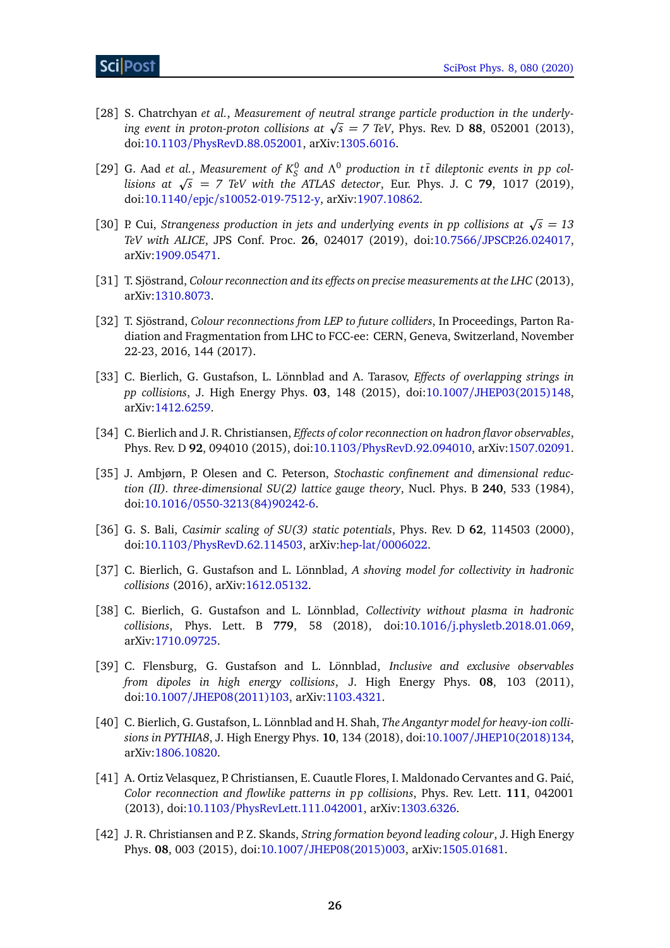- <span id="page-25-0"></span>[28] S. Chatrchyan *et al.*, *Measurement of neutral strange particle production in the underlying event in proton-proton collisions at*  $\sqrt{s} = 7$  TeV, Phys. Rev. D **88**, 052001 (2013),  $\frac{1}{2}$ doi:10.1103/[PhysRevD.88.052001,](http://dx.doi.org/10.1103/PhysRevD.88.052001) arXiv[:1305.6016.](https://arxiv.org/abs/1305.6016)
- [29] G. Aad *et al.*, *Measurement of*  $K_S^0$  and  $\Lambda^0$  production in tt dileptonic events in pp col- $G$ . Aad et al., Measurement of  $\kappa_{\tilde{S}}$  and  $\Lambda^*$  proauction in it alleptonic events in pp col-<br>lisions at  $\sqrt{s}$  = 7 TeV with the ATLAS detector, Eur. Phys. J. C **79**, 1017 (2019), doi:10.1140/epjc/[s10052-019-7512-y,](http://dx.doi.org/10.1140/epjc/s10052-019-7512-y) arXiv[:1907.10862.](https://arxiv.org/abs/1907.10862)
- <span id="page-25-1"></span>[30] P. Cui, *Strangeness production in jets and underlying events in pp collisions at*  $\sqrt{s} = 13$ *TeV with ALICE*, JPS Conf. Proc. **26**, 024017 (2019), doi:10.7566/[JPSCP.26.024017,](http://dx.doi.org/10.7566/JPSCP.26.024017) arXiv[:1909.05471.](https://arxiv.org/abs/1909.05471)
- <span id="page-25-2"></span>[31] T. Sjöstrand, *Colour reconnection and its effects on precise measurements at the LHC* (2013), arXiv[:1310.8073.](https://arxiv.org/abs/1310.8073)
- <span id="page-25-3"></span>[32] T. Sjöstrand, *Colour reconnections from LEP to future colliders*, In Proceedings, Parton Radiation and Fragmentation from LHC to FCC-ee: CERN, Geneva, Switzerland, November 22-23, 2016, 144 (2017).
- <span id="page-25-4"></span>[33] C. Bierlich, G. Gustafson, L. Lönnblad and A. Tarasov, *Effects of overlapping strings in pp collisions*, J. High Energy Phys. **03**, 148 (2015), doi:10.1007/[JHEP03\(2015\)148,](http://dx.doi.org/10.1007/JHEP03(2015)148) arXiv[:1412.6259.](https://arxiv.org/abs/1412.6259)
- <span id="page-25-5"></span>[34] C. Bierlich and J. R. Christiansen, *Effects of color reconnection on hadron flavor observables*, Phys. Rev. D **92**, 094010 (2015), doi:10.1103/[PhysRevD.92.094010,](http://dx.doi.org/10.1103/PhysRevD.92.094010) arXiv[:1507.02091.](https://arxiv.org/abs/1507.02091)
- <span id="page-25-6"></span>[35] J. Ambjørn, P. Olesen and C. Peterson, *Stochastic confinement and dimensional reduction (II). three-dimensional SU(2) lattice gauge theory*, Nucl. Phys. B **240**, 533 (1984), doi:10.1016/[0550-3213\(84\)90242-6.](http://dx.doi.org/10.1016/0550-3213(84)90242-6)
- <span id="page-25-7"></span>[36] G. S. Bali, *Casimir scaling of SU(3) static potentials*, Phys. Rev. D **62**, 114503 (2000), doi:10.1103/[PhysRevD.62.114503,](http://dx.doi.org/10.1103/PhysRevD.62.114503) arXiv:hep-lat/[0006022.](https://arxiv.org/abs/hep-lat/0006022)
- <span id="page-25-8"></span>[37] C. Bierlich, G. Gustafson and L. Lönnblad, *A shoving model for collectivity in hadronic collisions* (2016), arXiv[:1612.05132.](https://arxiv.org/abs/1612.05132)
- <span id="page-25-9"></span>[38] C. Bierlich, G. Gustafson and L. Lönnblad, *Collectivity without plasma in hadronic collisions*, Phys. Lett. B **779**, 58 (2018), doi:10.1016/[j.physletb.2018.01.069,](http://dx.doi.org/10.1016/j.physletb.2018.01.069) arXiv[:1710.09725.](https://arxiv.org/abs/1710.09725)
- <span id="page-25-10"></span>[39] C. Flensburg, G. Gustafson and L. Lönnblad, *Inclusive and exclusive observables from dipoles in high energy collisions*, J. High Energy Phys. **08**, 103 (2011), doi:10.1007/[JHEP08\(2011\)103,](http://dx.doi.org/10.1007/JHEP08(2011)103) arXiv[:1103.4321.](https://arxiv.org/abs/1103.4321)
- <span id="page-25-11"></span>[40] C. Bierlich, G. Gustafson, L. Lönnblad and H. Shah, *The Angantyr model for heavy-ion collisions in PYTHIA8*, J. High Energy Phys. **10**, 134 (2018), doi:10.1007/[JHEP10\(2018\)134,](http://dx.doi.org/10.1007/JHEP10(2018)134) arXiv[:1806.10820.](https://arxiv.org/abs/1806.10820)
- <span id="page-25-12"></span>[41] A. Ortiz Velasquez, P. Christiansen, E. Cuautle Flores, I. Maldonado Cervantes and G. Pai´c, *Color reconnection and flowlike patterns in pp collisions*, Phys. Rev. Lett. **111**, 042001 (2013), doi:10.1103/[PhysRevLett.111.042001,](http://dx.doi.org/10.1103/PhysRevLett.111.042001) arXiv[:1303.6326.](https://arxiv.org/abs/1303.6326)
- <span id="page-25-13"></span>[42] J. R. Christiansen and P. Z. Skands, *String formation beyond leading colour*, J. High Energy Phys. **08**, 003 (2015), doi:10.1007/[JHEP08\(2015\)003,](http://dx.doi.org/10.1007/JHEP08(2015)003) arXiv[:1505.01681.](https://arxiv.org/abs/1505.01681)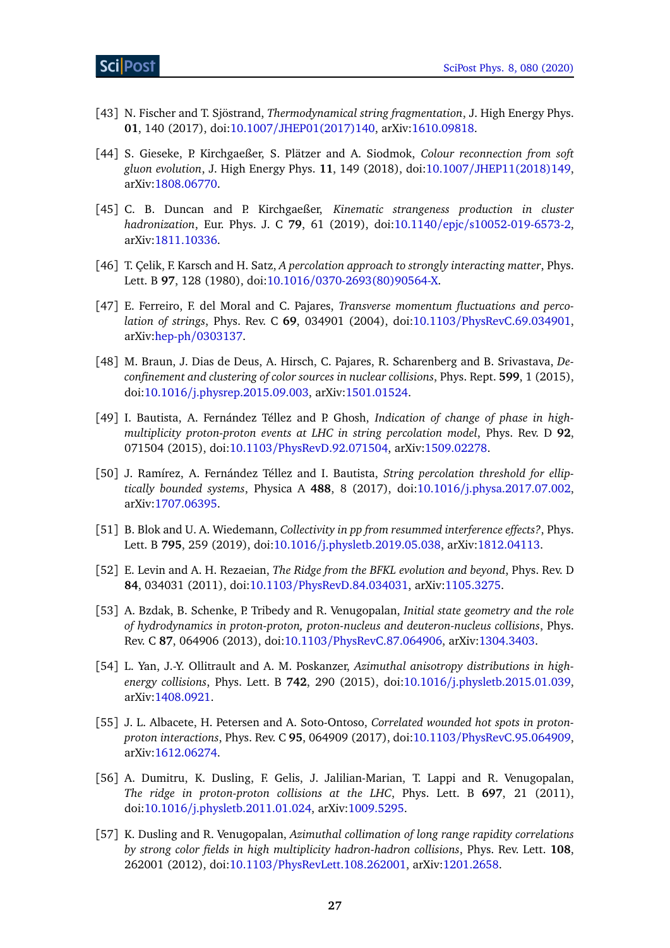- <span id="page-26-0"></span>[43] N. Fischer and T. Sjöstrand, *Thermodynamical string fragmentation*, J. High Energy Phys. **01**, 140 (2017), doi:10.1007/[JHEP01\(2017\)140,](http://dx.doi.org/10.1007/JHEP01(2017)140) arXiv[:1610.09818.](https://arxiv.org/abs/1610.09818)
- <span id="page-26-1"></span>[44] S. Gieseke, P. Kirchgaeßer, S. Plätzer and A. Siodmok, *Colour reconnection from soft gluon evolution*, J. High Energy Phys. **11**, 149 (2018), doi:10.1007/[JHEP11\(2018\)149,](http://dx.doi.org/10.1007/JHEP11(2018)149) arXiv[:1808.06770.](https://arxiv.org/abs/1808.06770)
- <span id="page-26-2"></span>[45] C. B. Duncan and P. Kirchgaeßer, *Kinematic strangeness production in cluster hadronization*, Eur. Phys. J. C **79**, 61 (2019), doi:10.1140/epjc/[s10052-019-6573-2,](http://dx.doi.org/10.1140/epjc/s10052-019-6573-2) arXiv[:1811.10336.](https://arxiv.org/abs/1811.10336)
- <span id="page-26-3"></span>[46] T. Çelik, F. Karsch and H. Satz, *A percolation approach to strongly interacting matter*, Phys. Lett. B **97**, 128 (1980), doi:10.1016/[0370-2693\(80\)90564-X.](http://dx.doi.org/10.1016/0370-2693(80)90564-X)
- [47] E. Ferreiro, F. del Moral and C. Pajares, *Transverse momentum fluctuations and percolation of strings*, Phys. Rev. C **69**, 034901 (2004), doi:10.1103/[PhysRevC.69.034901,](http://dx.doi.org/10.1103/PhysRevC.69.034901) arXiv:hep-ph/[0303137.](https://arxiv.org/abs/hep-ph/0303137)
- [48] M. Braun, J. Dias de Deus, A. Hirsch, C. Pajares, R. Scharenberg and B. Srivastava, *Deconfinement and clustering of color sources in nuclear collisions*, Phys. Rept. **599**, 1 (2015), doi:10.1016/[j.physrep.2015.09.003,](http://dx.doi.org/10.1016/j.physrep.2015.09.003) arXiv[:1501.01524.](https://arxiv.org/abs/1501.01524)
- [49] I. Bautista, A. Fernández Téllez and P. Ghosh, *Indication of change of phase in highmultiplicity proton-proton events at LHC in string percolation model*, Phys. Rev. D **92**, 071504 (2015), doi:10.1103/[PhysRevD.92.071504,](http://dx.doi.org/10.1103/PhysRevD.92.071504) arXiv[:1509.02278.](https://arxiv.org/abs/1509.02278)
- <span id="page-26-4"></span>[50] J. Ramírez, A. Fernández Téllez and I. Bautista, *String percolation threshold for elliptically bounded systems*, Physica A **488**, 8 (2017), doi:10.1016/[j.physa.2017.07.002,](http://dx.doi.org/10.1016/j.physa.2017.07.002) arXiv[:1707.06395.](https://arxiv.org/abs/1707.06395)
- <span id="page-26-5"></span>[51] B. Blok and U. A. Wiedemann, *Collectivity in pp from resummed interference effects?*, Phys. Lett. B **795**, 259 (2019), doi:10.1016/[j.physletb.2019.05.038,](http://dx.doi.org/10.1016/j.physletb.2019.05.038) arXiv[:1812.04113.](https://arxiv.org/abs/1812.04113)
- <span id="page-26-6"></span>[52] E. Levin and A. H. Rezaeian, *The Ridge from the BFKL evolution and beyond*, Phys. Rev. D **84**, 034031 (2011), doi:10.1103/[PhysRevD.84.034031,](http://dx.doi.org/10.1103/PhysRevD.84.034031) arXiv[:1105.3275.](https://arxiv.org/abs/1105.3275)
- <span id="page-26-7"></span>[53] A. Bzdak, B. Schenke, P. Tribedy and R. Venugopalan, *Initial state geometry and the role of hydrodynamics in proton-proton, proton-nucleus and deuteron-nucleus collisions*, Phys. Rev. C **87**, 064906 (2013), doi:10.1103/[PhysRevC.87.064906,](http://dx.doi.org/10.1103/PhysRevC.87.064906) arXiv[:1304.3403.](https://arxiv.org/abs/1304.3403)
- [54] L. Yan, J.-Y. Ollitrault and A. M. Poskanzer, *Azimuthal anisotropy distributions in highenergy collisions*, Phys. Lett. B **742**, 290 (2015), doi:10.1016/[j.physletb.2015.01.039,](http://dx.doi.org/10.1016/j.physletb.2015.01.039) arXiv[:1408.0921.](https://arxiv.org/abs/1408.0921)
- <span id="page-26-8"></span>[55] J. L. Albacete, H. Petersen and A. Soto-Ontoso, *Correlated wounded hot spots in protonproton interactions*, Phys. Rev. C **95**, 064909 (2017), doi:10.1103/[PhysRevC.95.064909,](http://dx.doi.org/10.1103/PhysRevC.95.064909) arXiv[:1612.06274.](https://arxiv.org/abs/1612.06274)
- <span id="page-26-9"></span>[56] A. Dumitru, K. Dusling, F. Gelis, J. Jalilian-Marian, T. Lappi and R. Venugopalan, *The ridge in proton-proton collisions at the LHC*, Phys. Lett. B **697**, 21 (2011), doi:10.1016/[j.physletb.2011.01.024,](http://dx.doi.org/10.1016/j.physletb.2011.01.024) arXiv[:1009.5295.](https://arxiv.org/abs/1009.5295)
- <span id="page-26-10"></span>[57] K. Dusling and R. Venugopalan, *Azimuthal collimation of long range rapidity correlations by strong color fields in high multiplicity hadron-hadron collisions*, Phys. Rev. Lett. **108**, 262001 (2012), doi:10.1103/[PhysRevLett.108.262001,](http://dx.doi.org/10.1103/PhysRevLett.108.262001) arXiv[:1201.2658.](https://arxiv.org/abs/1201.2658)